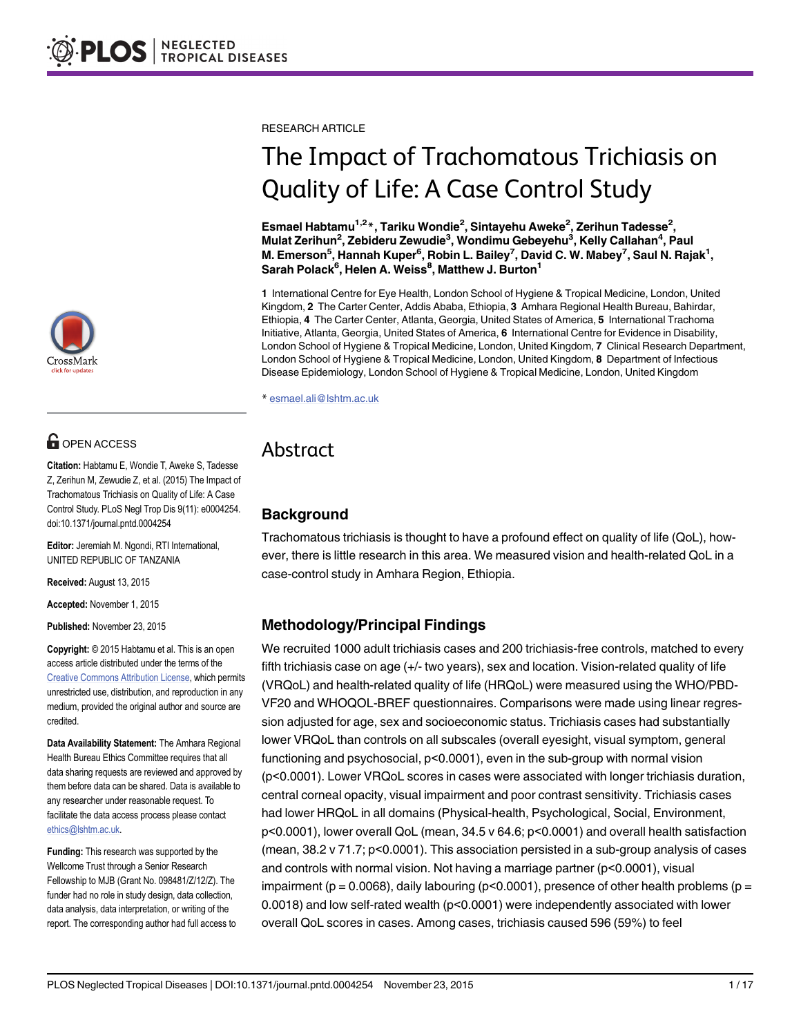RESEARCH ARTICLE

# The Impact of Trachomatous Trichiasis on Quality of Life: A Case Control Study

Esmael Habtamu<sup>1,2</sup>\*, Tariku Wondie<sup>2</sup>, Sintayehu Aweke<sup>2</sup>, Zerihun Tadesse<sup>2</sup>, Mulat Zerihun<sup>2</sup>, Zebideru Zewudie<sup>3</sup>, Wondimu Gebeyehu<sup>3</sup>, Kelly Callahan<sup>4</sup>, Paul M. Emerson<sup>5</sup>, Hannah Kuper<sup>6</sup>, Robin L. Bailey<sup>7</sup>, David C. W. Mabey<sup>7</sup>, Saul N. Rajak<sup>1</sup>, Sarah Polack $^6$ , Helen A. Weiss $^8$ , Matthew J. Burton $^1$ 

1 International Centre for Eye Health, London School of Hygiene & Tropical Medicine, London, United Kingdom, 2 The Carter Center, Addis Ababa, Ethiopia, 3 Amhara Regional Health Bureau, Bahirdar, Ethiopia, 4 The Carter Center, Atlanta, Georgia, United States of America, 5 International Trachoma Initiative, Atlanta, Georgia, United States of America, 6 International Centre for Evidence in Disability, London School of Hygiene & Tropical Medicine, London, United Kingdom, 7 Clinical Research Department, London School of Hygiene & Tropical Medicine, London, United Kingdom, 8 Department of Infectious Disease Epidemiology, London School of Hygiene & Tropical Medicine, London, United Kingdom

\* esmael.ali@lshtm.ac.uk

## Abstract

## Background

Trachomatous trichiasis is thought to have a profound effect on quality of life (QoL), however, there is little research in this area. We measured vision and health-related QoL in a case-control study in Amhara Region, Ethiopia.

## Methodology/Principal Findings

We recruited 1000 adult trichiasis cases and 200 trichiasis-free controls, matched to every fifth trichiasis case on age (+/- two years), sex and location. Vision-related quality of life (VRQoL) and health-related quality of life (HRQoL) were measured using the WHO/PBD-VF20 and WHOQOL-BREF questionnaires. Comparisons were made using linear regression adjusted for age, sex and socioeconomic status. Trichiasis cases had substantially lower VRQoL than controls on all subscales (overall eyesight, visual symptom, general functioning and psychosocial, p<0.0001), even in the sub-group with normal vision (p<0.0001). Lower VRQoL scores in cases were associated with longer trichiasis duration, central corneal opacity, visual impairment and poor contrast sensitivity. Trichiasis cases had lower HRQoL in all domains (Physical-health, Psychological, Social, Environment, p<0.0001), lower overall QoL (mean, 34.5 v 64.6; p<0.0001) and overall health satisfaction (mean, 38.2 v 71.7; p<0.0001). This association persisted in a sub-group analysis of cases and controls with normal vision. Not having a marriage partner (p<0.0001), visual impairment (p = 0.0068), daily labouring (p < 0.0001), presence of other health problems (p = 0.0018) and low self-rated wealth (p<0.0001) were independently associated with lower overall QoL scores in cases. Among cases, trichiasis caused 596 (59%) to feel



## **OPEN ACCESS**

Citation: Habtamu E, Wondie T, Aweke S, Tadesse Z, Zerihun M, Zewudie Z, et al. (2015) The Impact of Trachomatous Trichiasis on Quality of Life: A Case Control Study. PLoS Negl Trop Dis 9(11): e0004254. doi:10.1371/journal.pntd.0004254

Editor: Jeremiah M. Ngondi, RTI International, UNITED REPUBLIC OF TANZANIA

Received: August 13, 2015

Accepted: November 1, 2015

Published: November 23, 2015

Copyright: © 2015 Habtamu et al. This is an open access article distributed under the terms of the [Creative Commons Attribution License,](http://creativecommons.org/licenses/by/4.0/) which permits unrestricted use, distribution, and reproduction in any medium, provided the original author and source are credited.

Data Availability Statement: The Amhara Regional Health Bureau Ethics Committee requires that all data sharing requests are reviewed and approved by them before data can be shared. Data is available to any researcher under reasonable request. To facilitate the data access process please contact ethics@lshtm.ac.uk.

Funding: This research was supported by the Wellcome Trust through a Senior Research Fellowship to MJB (Grant No. 098481/Z/12/Z). The funder had no role in study design, data collection, data analysis, data interpretation, or writing of the report. The corresponding author had full access to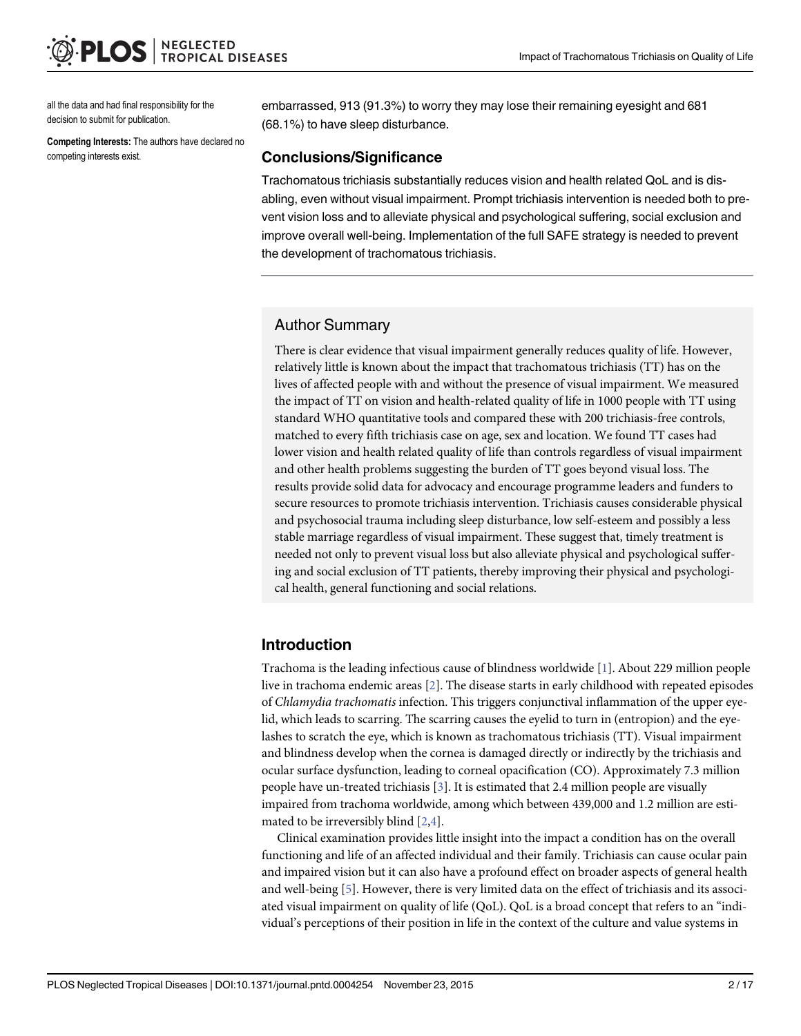<span id="page-1-0"></span>all the data and had final responsibility for the decision to submit for publication.

Competing Interests: The authors have declared no competing interests exist.

embarrassed, 913 (91.3%) to worry they may lose their remaining eyesight and 681 (68.1%) to have sleep disturbance.

#### Conclusions/Significance

Trachomatous trichiasis substantially reduces vision and health related QoL and is disabling, even without visual impairment. Prompt trichiasis intervention is needed both to prevent vision loss and to alleviate physical and psychological suffering, social exclusion and improve overall well-being. Implementation of the full SAFE strategy is needed to prevent the development of trachomatous trichiasis.

## Author Summary

There is clear evidence that visual impairment generally reduces quality of life. However, relatively little is known about the impact that trachomatous trichiasis (TT) has on the lives of affected people with and without the presence of visual impairment. We measured the impact of TT on vision and health-related quality of life in 1000 people with TT using standard WHO quantitative tools and compared these with 200 trichiasis-free controls, matched to every fifth trichiasis case on age, sex and location. We found TT cases had lower vision and health related quality of life than controls regardless of visual impairment and other health problems suggesting the burden of TT goes beyond visual loss. The results provide solid data for advocacy and encourage programme leaders and funders to secure resources to promote trichiasis intervention. Trichiasis causes considerable physical and psychosocial trauma including sleep disturbance, low self-esteem and possibly a less stable marriage regardless of visual impairment. These suggest that, timely treatment is needed not only to prevent visual loss but also alleviate physical and psychological suffering and social exclusion of TT patients, thereby improving their physical and psychological health, general functioning and social relations.

## Introduction

Trachoma is the leading infectious cause of blindness worldwide [[1\]](#page-15-0). About 229 million people live in trachoma endemic areas [\[2](#page-15-0)]. The disease starts in early childhood with repeated episodes of Chlamydia trachomatis infection. This triggers conjunctival inflammation of the upper eyelid, which leads to scarring. The scarring causes the eyelid to turn in (entropion) and the eyelashes to scratch the eye, which is known as trachomatous trichiasis (TT). Visual impairment and blindness develop when the cornea is damaged directly or indirectly by the trichiasis and ocular surface dysfunction, leading to corneal opacification (CO). Approximately 7.3 million people have un-treated trichiasis [\[3](#page-15-0)]. It is estimated that 2.4 million people are visually impaired from trachoma worldwide, among which between 439,000 and 1.2 million are estimated to be irreversibly blind  $[2,4]$ .

Clinical examination provides little insight into the impact a condition has on the overall functioning and life of an affected individual and their family. Trichiasis can cause ocular pain and impaired vision but it can also have a profound effect on broader aspects of general health and well-being [\[5\]](#page-15-0). However, there is very limited data on the effect of trichiasis and its associated visual impairment on quality of life (QoL). QoL is a broad concept that refers to an "individual's perceptions of their position in life in the context of the culture and value systems in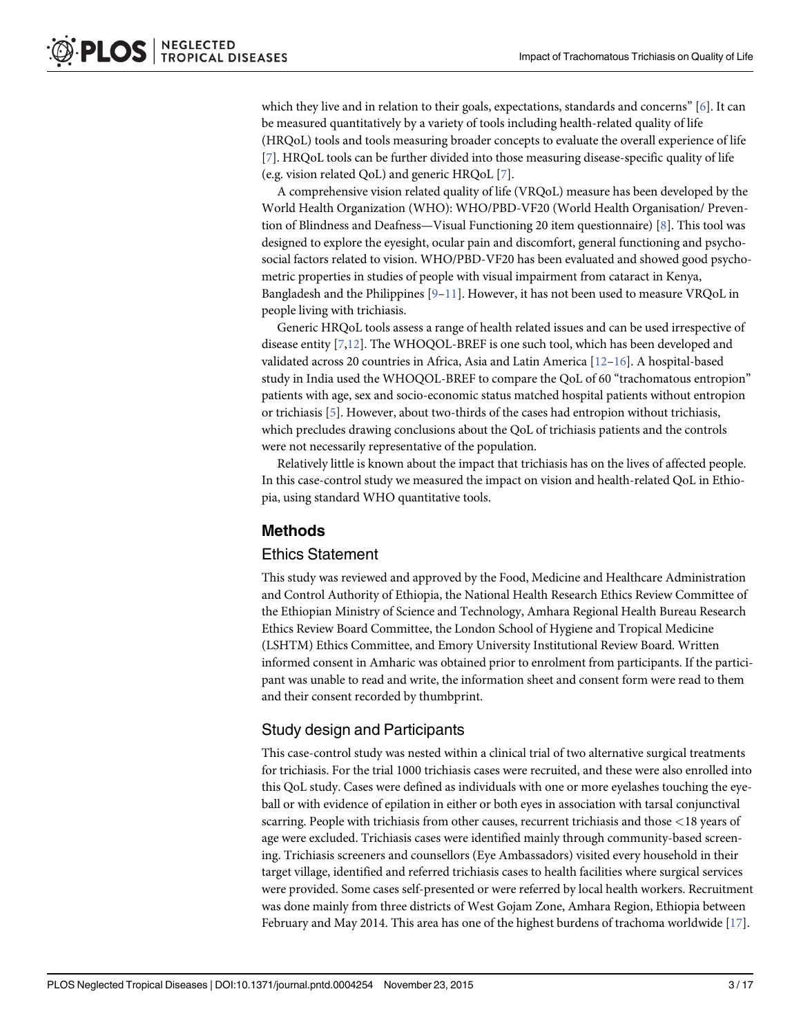<span id="page-2-0"></span>which they live and in relation to their goals, expectations, standards and concerns" [\[6\]](#page-15-0). It can be measured quantitatively by a variety of tools including health-related quality of life (HRQoL) tools and tools measuring broader concepts to evaluate the overall experience of life [\[7](#page-15-0)]. HRQoL tools can be further divided into those measuring disease-specific quality of life (e.g. vision related QoL) and generic HRQoL [[7\]](#page-15-0).

A comprehensive vision related quality of life (VRQoL) measure has been developed by the World Health Organization (WHO): WHO/PBD-VF20 (World Health Organisation/ Prevention of Blindness and Deafness—Visual Functioning 20 item questionnaire) [[8\]](#page-15-0). This tool was designed to explore the eyesight, ocular pain and discomfort, general functioning and psychosocial factors related to vision. WHO/PBD-VF20 has been evaluated and showed good psychometric properties in studies of people with visual impairment from cataract in Kenya, Bangladesh and the Philippines  $[9-11]$  $[9-11]$  $[9-11]$ . However, it has not been used to measure VRQoL in people living with trichiasis.

Generic HRQoL tools assess a range of health related issues and can be used irrespective of disease entity [[7,12](#page-15-0)]. The WHOQOL-BREF is one such tool, which has been developed and validated across 20 countries in Africa, Asia and Latin America [[12](#page-15-0)–[16\]](#page-15-0). A hospital-based study in India used the WHOQOL-BREF to compare the QoL of 60 "trachomatous entropion" patients with age, sex and socio-economic status matched hospital patients without entropion or trichiasis [\[5\]](#page-15-0). However, about two-thirds of the cases had entropion without trichiasis, which precludes drawing conclusions about the QoL of trichiasis patients and the controls were not necessarily representative of the population.

Relatively little is known about the impact that trichiasis has on the lives of affected people. In this case-control study we measured the impact on vision and health-related QoL in Ethiopia, using standard WHO quantitative tools.

## Methods

## Ethics Statement

This study was reviewed and approved by the Food, Medicine and Healthcare Administration and Control Authority of Ethiopia, the National Health Research Ethics Review Committee of the Ethiopian Ministry of Science and Technology, Amhara Regional Health Bureau Research Ethics Review Board Committee, the London School of Hygiene and Tropical Medicine (LSHTM) Ethics Committee, and Emory University Institutional Review Board. Written informed consent in Amharic was obtained prior to enrolment from participants. If the participant was unable to read and write, the information sheet and consent form were read to them and their consent recorded by thumbprint.

## Study design and Participants

This case-control study was nested within a clinical trial of two alternative surgical treatments for trichiasis. For the trial 1000 trichiasis cases were recruited, and these were also enrolled into this QoL study. Cases were defined as individuals with one or more eyelashes touching the eyeball or with evidence of epilation in either or both eyes in association with tarsal conjunctival scarring. People with trichiasis from other causes, recurrent trichiasis and those <18 years of age were excluded. Trichiasis cases were identified mainly through community-based screening. Trichiasis screeners and counsellors (Eye Ambassadors) visited every household in their target village, identified and referred trichiasis cases to health facilities where surgical services were provided. Some cases self-presented or were referred by local health workers. Recruitment was done mainly from three districts of West Gojam Zone, Amhara Region, Ethiopia between February and May 2014. This area has one of the highest burdens of trachoma worldwide [\[17\]](#page-15-0).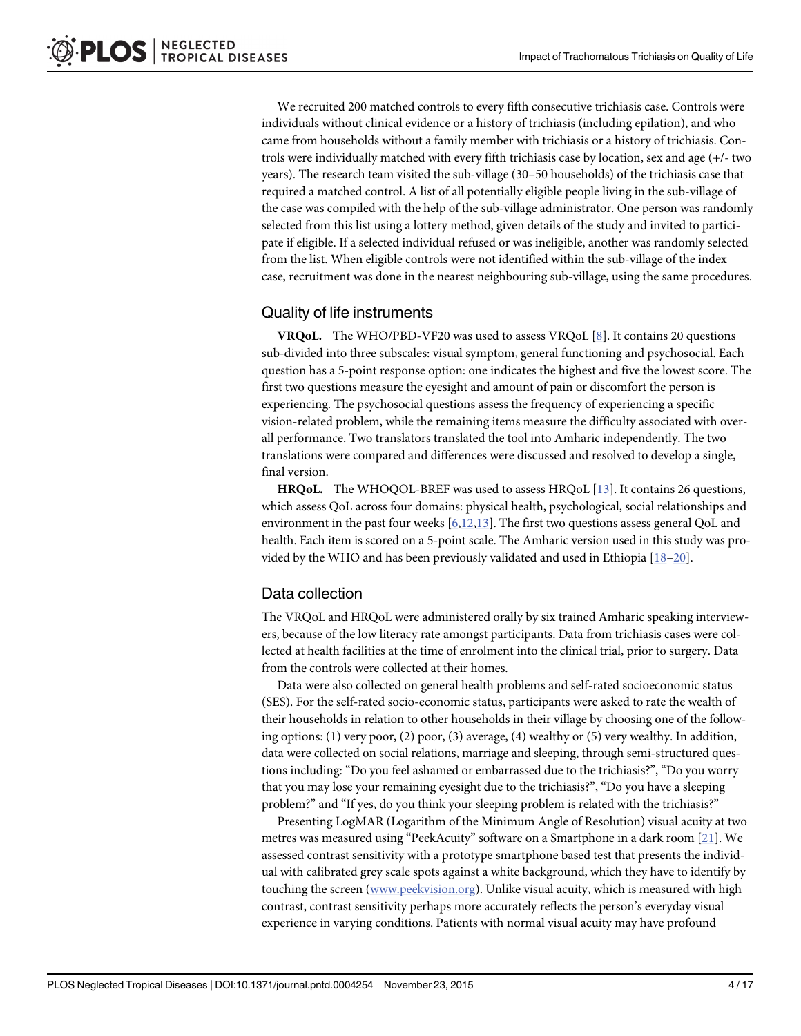<span id="page-3-0"></span>We recruited 200 matched controls to every fifth consecutive trichiasis case. Controls were individuals without clinical evidence or a history of trichiasis (including epilation), and who came from households without a family member with trichiasis or a history of trichiasis. Controls were individually matched with every fifth trichiasis case by location, sex and age (+/- two years). The research team visited the sub-village (30–50 households) of the trichiasis case that required a matched control. A list of all potentially eligible people living in the sub-village of the case was compiled with the help of the sub-village administrator. One person was randomly selected from this list using a lottery method, given details of the study and invited to participate if eligible. If a selected individual refused or was ineligible, another was randomly selected from the list. When eligible controls were not identified within the sub-village of the index case, recruitment was done in the nearest neighbouring sub-village, using the same procedures.

## Quality of life instruments

VRQoL. The WHO/PBD-VF20 was used to assess VRQoL [[8\]](#page-15-0). It contains 20 questions sub-divided into three subscales: visual symptom, general functioning and psychosocial. Each question has a 5-point response option: one indicates the highest and five the lowest score. The first two questions measure the eyesight and amount of pain or discomfort the person is experiencing. The psychosocial questions assess the frequency of experiencing a specific vision-related problem, while the remaining items measure the difficulty associated with overall performance. Two translators translated the tool into Amharic independently. The two translations were compared and differences were discussed and resolved to develop a single, final version.

**HRQoL.** The WHOQOL-BREF was used to assess HRQoL  $[13]$  $[13]$ . It contains 26 questions, which assess QoL across four domains: physical health, psychological, social relationships and environment in the past four weeks  $[6,12,13]$  $[6,12,13]$  $[6,12,13]$ . The first two questions assess general QoL and health. Each item is scored on a 5-point scale. The Amharic version used in this study was provided by the WHO and has been previously validated and used in Ethiopia  $[18-20]$  $[18-20]$  $[18-20]$  $[18-20]$ .

## Data collection

The VRQoL and HRQoL were administered orally by six trained Amharic speaking interviewers, because of the low literacy rate amongst participants. Data from trichiasis cases were collected at health facilities at the time of enrolment into the clinical trial, prior to surgery. Data from the controls were collected at their homes.

Data were also collected on general health problems and self-rated socioeconomic status (SES). For the self-rated socio-economic status, participants were asked to rate the wealth of their households in relation to other households in their village by choosing one of the following options: (1) very poor, (2) poor, (3) average, (4) wealthy or (5) very wealthy. In addition, data were collected on social relations, marriage and sleeping, through semi-structured questions including: "Do you feel ashamed or embarrassed due to the trichiasis?", "Do you worry that you may lose your remaining eyesight due to the trichiasis?", "Do you have a sleeping problem?" and "If yes, do you think your sleeping problem is related with the trichiasis?"

Presenting LogMAR (Logarithm of the Minimum Angle of Resolution) visual acuity at two metres was measured using "PeekAcuity" software on a Smartphone in a dark room [[21](#page-16-0)]. We assessed contrast sensitivity with a prototype smartphone based test that presents the individual with calibrated grey scale spots against a white background, which they have to identify by touching the screen [\(www.peekvision.org](http://www.peekvision.org)). Unlike visual acuity, which is measured with high contrast, contrast sensitivity perhaps more accurately reflects the person's everyday visual experience in varying conditions. Patients with normal visual acuity may have profound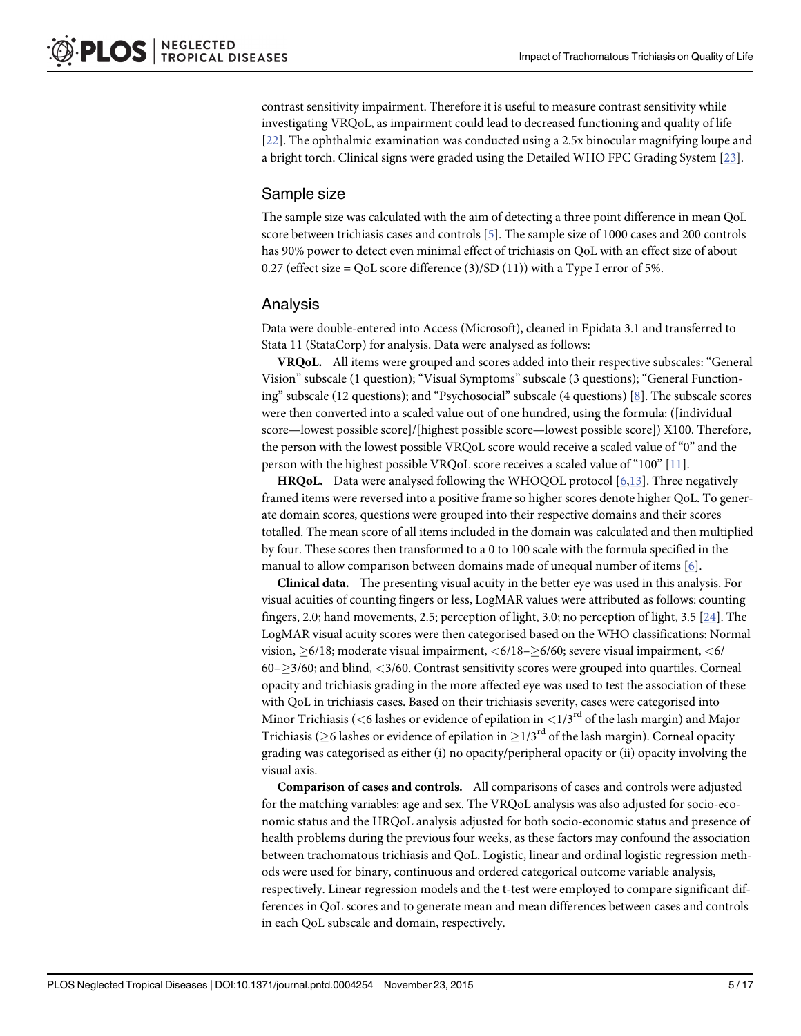<span id="page-4-0"></span>contrast sensitivity impairment. Therefore it is useful to measure contrast sensitivity while investigating VRQoL, as impairment could lead to decreased functioning and quality of life [\[22](#page-16-0)]. The ophthalmic examination was conducted using a 2.5x binocular magnifying loupe and a bright torch. Clinical signs were graded using the Detailed WHO FPC Grading System [\[23](#page-16-0)].

#### Sample size

The sample size was calculated with the aim of detecting a three point difference in mean QoL score between trichiasis cases and controls [\[5\]](#page-15-0). The sample size of 1000 cases and 200 controls has 90% power to detect even minimal effect of trichiasis on QoL with an effect size of about 0.27 (effect size = QoL score difference  $(3)/SD(11)$ ) with a Type I error of 5%.

#### Analysis

Data were double-entered into Access (Microsoft), cleaned in Epidata 3.1 and transferred to Stata 11 (StataCorp) for analysis. Data were analysed as follows:

VRQoL. All items were grouped and scores added into their respective subscales: "General Vision" subscale (1 question); "Visual Symptoms" subscale (3 questions); "General Functioning" subscale (12 questions); and "Psychosocial" subscale (4 questions) [[8\]](#page-15-0). The subscale scores were then converted into a scaled value out of one hundred, using the formula: ([individual score—lowest possible score]/[highest possible score—lowest possible score]) X100. Therefore, the person with the lowest possible VRQoL score would receive a scaled value of "0" and the person with the highest possible VRQoL score receives a scaled value of "100" [\[11\]](#page-15-0).

HRQoL. Data were analysed following the WHOQOL protocol [\[6,13\]](#page-15-0). Three negatively framed items were reversed into a positive frame so higher scores denote higher QoL. To generate domain scores, questions were grouped into their respective domains and their scores totalled. The mean score of all items included in the domain was calculated and then multiplied by four. These scores then transformed to a 0 to 100 scale with the formula specified in the manual to allow comparison between domains made of unequal number of items  $[6]$  $[6]$ .

Clinical data. The presenting visual acuity in the better eye was used in this analysis. For visual acuities of counting fingers or less, LogMAR values were attributed as follows: counting fingers, 2.0; hand movements, 2.5; perception of light, 3.0; no perception of light, 3.5 [[24\]](#page-16-0). The LogMAR visual acuity scores were then categorised based on the WHO classifications: Normal vision,  $>6/18$ ; moderate visual impairment,  $<6/18->6/60$ ; severe visual impairment,  $<6/$  $60 - \geq$  3/60; and blind, <3/60. Contrast sensitivity scores were grouped into quartiles. Corneal opacity and trichiasis grading in the more affected eye was used to test the association of these with QoL in trichiasis cases. Based on their trichiasis severity, cases were categorised into Minor Trichiasis (<6 lashes or evidence of epilation in  $\langle 1/3^{rd}$  of the lash margin) and Major Trichiasis ( $\geq$ 6 lashes or evidence of epilation in  $\geq$ 1/3<sup>rd</sup> of the lash margin). Corneal opacity grading was categorised as either (i) no opacity/peripheral opacity or (ii) opacity involving the visual axis.

Comparison of cases and controls. All comparisons of cases and controls were adjusted for the matching variables: age and sex. The VRQoL analysis was also adjusted for socio-economic status and the HRQoL analysis adjusted for both socio-economic status and presence of health problems during the previous four weeks, as these factors may confound the association between trachomatous trichiasis and QoL. Logistic, linear and ordinal logistic regression methods were used for binary, continuous and ordered categorical outcome variable analysis, respectively. Linear regression models and the t-test were employed to compare significant differences in QoL scores and to generate mean and mean differences between cases and controls in each QoL subscale and domain, respectively.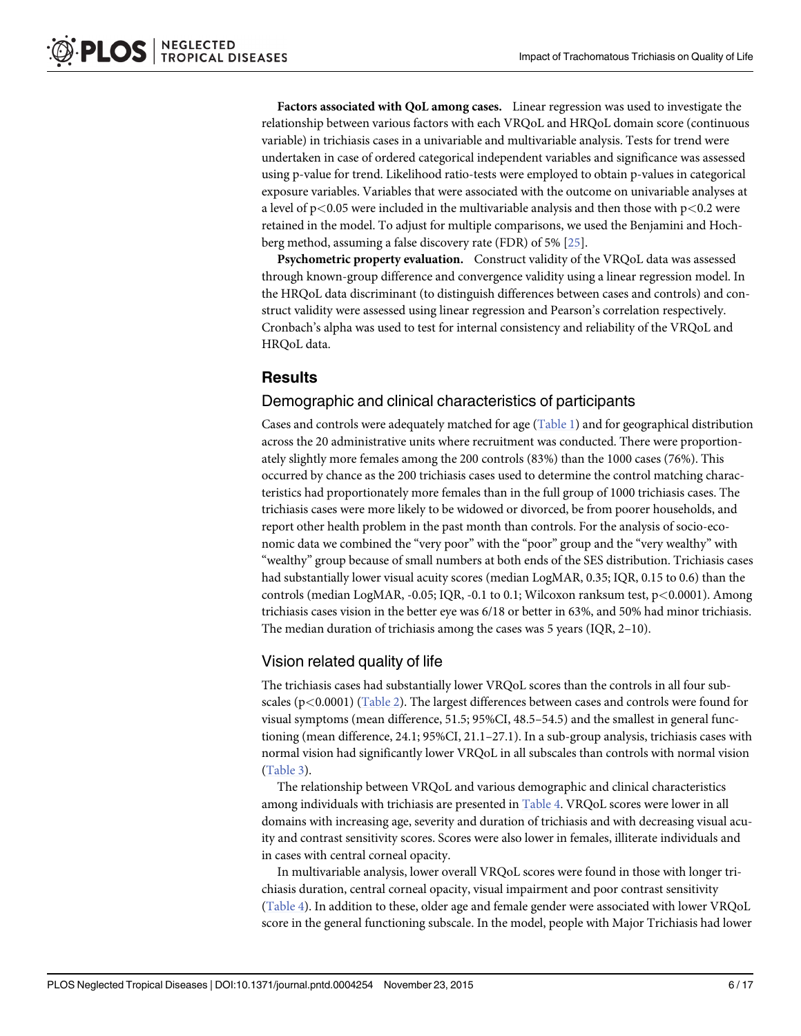<span id="page-5-0"></span>Factors associated with QoL among cases. Linear regression was used to investigate the relationship between various factors with each VRQoL and HRQoL domain score (continuous variable) in trichiasis cases in a univariable and multivariable analysis. Tests for trend were undertaken in case of ordered categorical independent variables and significance was assessed using p-value for trend. Likelihood ratio-tests were employed to obtain p-values in categorical exposure variables. Variables that were associated with the outcome on univariable analyses at a level of  $p<0.05$  were included in the multivariable analysis and then those with  $p<0.2$  were retained in the model. To adjust for multiple comparisons, we used the Benjamini and Hochberg method, assuming a false discovery rate (FDR) of 5% [\[25\]](#page-16-0).

Psychometric property evaluation. Construct validity of the VRQoL data was assessed through known-group difference and convergence validity using a linear regression model. In the HRQoL data discriminant (to distinguish differences between cases and controls) and construct validity were assessed using linear regression and Pearson's correlation respectively. Cronbach's alpha was used to test for internal consistency and reliability of the VRQoL and HRQoL data.

## **Results**

## Demographic and clinical characteristics of participants

Cases and controls were adequately matched for age  $(Table 1)$  $(Table 1)$  and for geographical distribution across the 20 administrative units where recruitment was conducted. There were proportionately slightly more females among the 200 controls (83%) than the 1000 cases (76%). This occurred by chance as the 200 trichiasis cases used to determine the control matching characteristics had proportionately more females than in the full group of 1000 trichiasis cases. The trichiasis cases were more likely to be widowed or divorced, be from poorer households, and report other health problem in the past month than controls. For the analysis of socio-economic data we combined the "very poor" with the "poor" group and the "very wealthy" with "wealthy" group because of small numbers at both ends of the SES distribution. Trichiasis cases had substantially lower visual acuity scores (median LogMAR, 0.35; IQR, 0.15 to 0.6) than the controls (median LogMAR, -0.05; IQR, -0.1 to 0.1; Wilcoxon ranksum test,  $p < 0.0001$ ). Among trichiasis cases vision in the better eye was 6/18 or better in 63%, and 50% had minor trichiasis. The median duration of trichiasis among the cases was 5 years (IQR, 2–10).

## Vision related quality of life

The trichiasis cases had substantially lower VRQoL scores than the controls in all four subscales ( $p$ <0.0001) [\(Table 2\)](#page-7-0). The largest differences between cases and controls were found for visual symptoms (mean difference, 51.5; 95%CI, 48.5–54.5) and the smallest in general functioning (mean difference, 24.1; 95%CI, 21.1–27.1). In a sub-group analysis, trichiasis cases with normal vision had significantly lower VRQoL in all subscales than controls with normal vision [\(Table 3\)](#page-7-0).

The relationship between VRQoL and various demographic and clinical characteristics among individuals with trichiasis are presented in [Table 4](#page-8-0). VRQoL scores were lower in all domains with increasing age, severity and duration of trichiasis and with decreasing visual acuity and contrast sensitivity scores. Scores were also lower in females, illiterate individuals and in cases with central corneal opacity.

In multivariable analysis, lower overall VRQoL scores were found in those with longer trichiasis duration, central corneal opacity, visual impairment and poor contrast sensitivity [\(Table 4\)](#page-8-0). In addition to these, older age and female gender were associated with lower VRQoL score in the general functioning subscale. In the model, people with Major Trichiasis had lower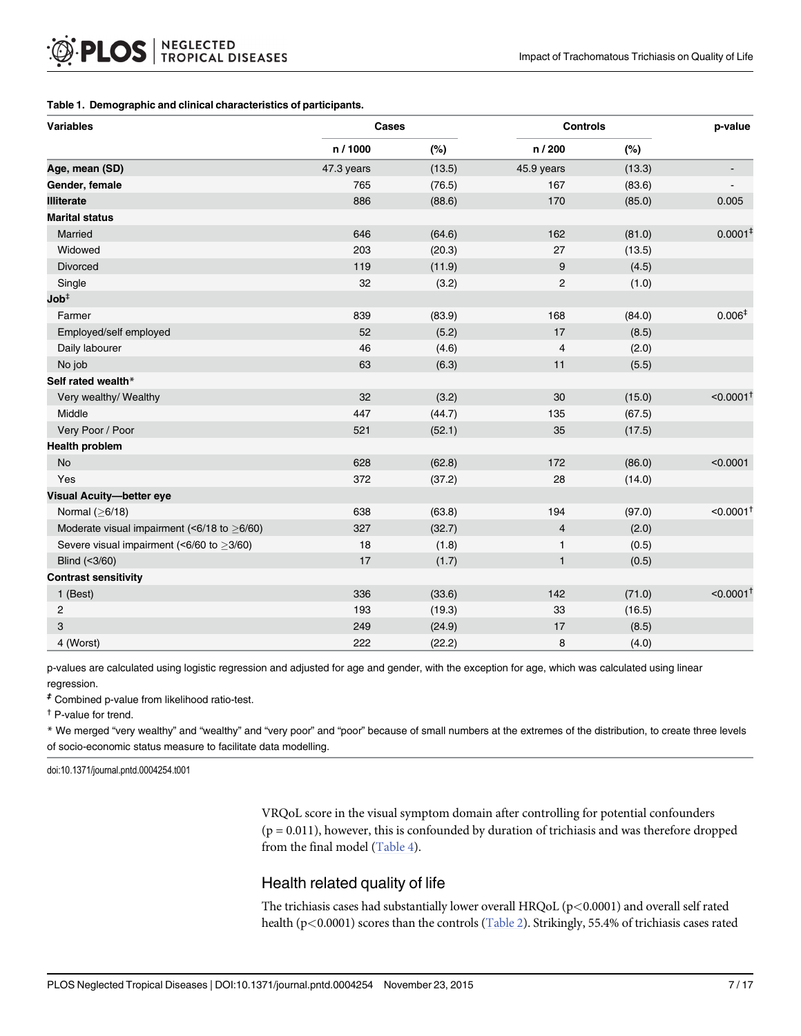#### <span id="page-6-0"></span>[Table 1.](#page-5-0) Demographic and clinical characteristics of participants.

| <b>Variables</b>                                  | Cases      |        | <b>Controls</b> | p-value |                              |
|---------------------------------------------------|------------|--------|-----------------|---------|------------------------------|
|                                                   | n / 1000   | (%)    | n / 200         | (%)     |                              |
| Age, mean (SD)                                    | 47.3 years | (13.5) | 45.9 years      | (13.3)  | $\qquad \qquad \blacksquare$ |
| Gender, female                                    | 765        | (76.5) | 167             | (83.6)  |                              |
| <b>Illiterate</b>                                 | 886        | (88.6) | 170             | (85.0)  | 0.005                        |
| <b>Marital status</b>                             |            |        |                 |         |                              |
| Married                                           | 646        | (64.6) | 162             | (81.0)  | 0.0001 <sup>‡</sup>          |
| Widowed                                           | 203        | (20.3) | 27              | (13.5)  |                              |
| Divorced                                          | 119        | (11.9) | 9               | (4.5)   |                              |
| Single                                            | 32         | (3.2)  | $\overline{c}$  | (1.0)   |                              |
| $\mathsf{Job}^\ddag$                              |            |        |                 |         |                              |
| Farmer                                            | 839        | (83.9) | 168             | (84.0)  | 0.006 <sup>‡</sup>           |
| Employed/self employed                            | 52         | (5.2)  | 17              | (8.5)   |                              |
| Daily labourer                                    | 46         | (4.6)  | 4               | (2.0)   |                              |
| No job                                            | 63         | (6.3)  | 11              | (5.5)   |                              |
| Self rated wealth*                                |            |        |                 |         |                              |
| Very wealthy/ Wealthy                             | 32         | (3.2)  | 30              | (15.0)  | $< 0.0001$ <sup>1</sup>      |
| Middle                                            | 447        | (44.7) | 135             | (67.5)  |                              |
| Very Poor / Poor                                  | 521        | (52.1) | 35              | (17.5)  |                              |
| <b>Health problem</b>                             |            |        |                 |         |                              |
| <b>No</b>                                         | 628        | (62.8) | 172             | (86.0)  | < 0.0001                     |
| Yes                                               | 372        | (37.2) | 28              | (14.0)  |                              |
| <b>Visual Acuity-better eye</b>                   |            |        |                 |         |                              |
| Normal $(≥6/18)$                                  | 638        | (63.8) | 194             | (97.0)  | $< 0.0001$ <sup>+</sup>      |
| Moderate visual impairment (<6/18 to $\geq$ 6/60) | 327        | (32.7) | $\overline{4}$  | (2.0)   |                              |
| Severe visual impairment (<6/60 to $\geq$ 3/60)   | 18         | (1.8)  | 1               | (0.5)   |                              |
| Blind (<3/60)                                     | 17         | (1.7)  | $\mathbf{1}$    | (0.5)   |                              |
| <b>Contrast sensitivity</b>                       |            |        |                 |         |                              |
| 1 (Best)                                          | 336        | (33.6) | 142             | (71.0)  | $< 0.0001$ <sup>1</sup>      |
| $\overline{c}$                                    | 193        | (19.3) | 33              | (16.5)  |                              |
| 3                                                 | 249        | (24.9) | 17              | (8.5)   |                              |
| 4 (Worst)                                         | 222        | (22.2) | 8               | (4.0)   |                              |

p-values are calculated using logistic regression and adjusted for age and gender, with the exception for age, which was calculated using linear regression.

‡ Combined p-value from likelihood ratio-test.

† P-value for trend.

\* We merged "very wealthy" and "wealthy" and "very poor" and "poor" because of small numbers at the extremes of the distribution, to create three levels of socio-economic status measure to facilitate data modelling.

doi:10.1371/journal.pntd.0004254.t001

VRQoL score in the visual symptom domain after controlling for potential confounders  $(p = 0.011)$ , however, this is confounded by duration of trichiasis and was therefore dropped from the final model [\(Table 4\)](#page-8-0).

## Health related quality of life

The trichiasis cases had substantially lower overall HRQoL ( $p<0.0001$ ) and overall self rated health (p<0.0001) scores than the controls [\(Table 2](#page-7-0)). Strikingly, 55.4% of trichiasis cases rated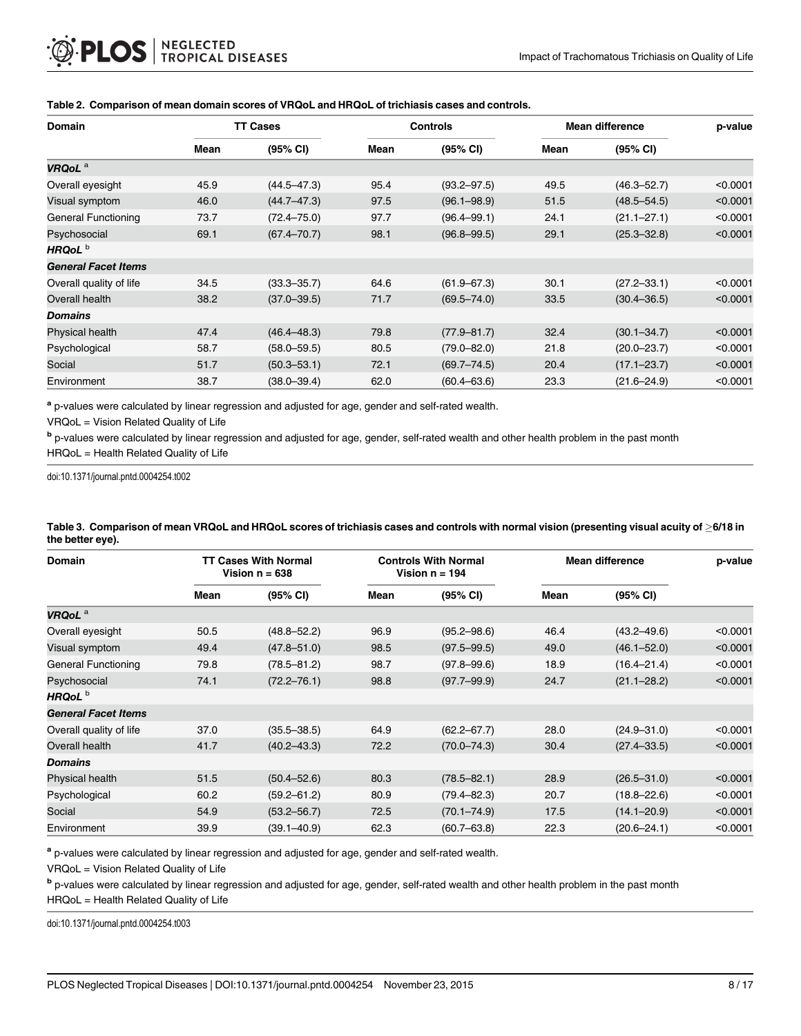| <b>Domain</b>              |      | <b>TT Cases</b> |      | <b>Controls</b> |      | <b>Mean difference</b> | p-value  |
|----------------------------|------|-----------------|------|-----------------|------|------------------------|----------|
|                            | Mean | (95% CI)        | Mean | (95% CI)        | Mean | (95% CI)               |          |
| VRQoL <sup>a</sup>         |      |                 |      |                 |      |                        |          |
| Overall eyesight           | 45.9 | $(44.5 - 47.3)$ | 95.4 | $(93.2 - 97.5)$ | 49.5 | $(46.3 - 52.7)$        | < 0.0001 |
| Visual symptom             | 46.0 | $(44.7 - 47.3)$ | 97.5 | $(96.1 - 98.9)$ | 51.5 | $(48.5 - 54.5)$        | < 0.0001 |
| <b>General Functioning</b> | 73.7 | $(72.4 - 75.0)$ | 97.7 | $(96.4 - 99.1)$ | 24.1 | $(21.1 - 27.1)$        | < 0.0001 |
| Psychosocial               | 69.1 | $(67.4 - 70.7)$ | 98.1 | $(96.8 - 99.5)$ | 29.1 | $(25.3 - 32.8)$        | < 0.0001 |
| HRQoL <sup>b</sup>         |      |                 |      |                 |      |                        |          |
| <b>General Facet Items</b> |      |                 |      |                 |      |                        |          |
| Overall quality of life    | 34.5 | $(33.3 - 35.7)$ | 64.6 | $(61.9 - 67.3)$ | 30.1 | $(27.2 - 33.1)$        | < 0.0001 |
| Overall health             | 38.2 | $(37.0 - 39.5)$ | 71.7 | $(69.5 - 74.0)$ | 33.5 | $(30.4 - 36.5)$        | < 0.0001 |
| <b>Domains</b>             |      |                 |      |                 |      |                        |          |
| Physical health            | 47.4 | $(46.4 - 48.3)$ | 79.8 | $(77.9 - 81.7)$ | 32.4 | $(30.1 - 34.7)$        | < 0.0001 |
| Psychological              | 58.7 | $(58.0 - 59.5)$ | 80.5 | $(79.0 - 82.0)$ | 21.8 | $(20.0 - 23.7)$        | < 0.0001 |
| Social                     | 51.7 | $(50.3 - 53.1)$ | 72.1 | $(69.7 - 74.5)$ | 20.4 | $(17.1 - 23.7)$        | < 0.0001 |
| Environment                | 38.7 | $(38.0 - 39.4)$ | 62.0 | $(60.4 - 63.6)$ | 23.3 | $(21.6 - 24.9)$        | < 0.0001 |

#### <span id="page-7-0"></span>[Table 2.](#page-5-0) Comparison of mean domain scores of VRQoL and HRQoL of trichiasis cases and controls.

a p-values were calculated by linear regression and adjusted for age, gender and self-rated wealth.

VRQoL = Vision Related Quality of Life

b p-values were calculated by linear regression and adjusted for age, gender, self-rated wealth and other health problem in the past month HRQoL = Health Related Quality of Life

doi:10.1371/journal.pntd.0004254.t002

| <b>Domain</b>              |      | <b>TT Cases With Normal</b><br>Vision $n = 638$ |      | <b>Controls With Normal</b><br>Vision $n = 194$ | <b>Mean difference</b> | p-value         |          |
|----------------------------|------|-------------------------------------------------|------|-------------------------------------------------|------------------------|-----------------|----------|
|                            | Mean | (95% CI)                                        | Mean | (95% CI)                                        | Mean                   | (95% CI)        |          |
| VRQoL <sup>a</sup>         |      |                                                 |      |                                                 |                        |                 |          |
| Overall eyesight           | 50.5 | $(48.8 - 52.2)$                                 | 96.9 | $(95.2 - 98.6)$                                 | 46.4                   | $(43.2 - 49.6)$ | < 0.0001 |
| Visual symptom             | 49.4 | $(47.8 - 51.0)$                                 | 98.5 | $(97.5 - 99.5)$                                 | 49.0                   | $(46.1 - 52.0)$ | < 0.0001 |
| General Functioning        | 79.8 | $(78.5 - 81.2)$                                 | 98.7 | $(97.8 - 99.6)$                                 | 18.9                   | $(16.4 - 21.4)$ | < 0.0001 |
| Psychosocial               | 74.1 | $(72.2 - 76.1)$                                 | 98.8 | $(97.7 - 99.9)$                                 | 24.7                   | $(21.1 - 28.2)$ | < 0.0001 |
| HRQoL <sup>b</sup>         |      |                                                 |      |                                                 |                        |                 |          |
| <b>General Facet Items</b> |      |                                                 |      |                                                 |                        |                 |          |
| Overall quality of life    | 37.0 | $(35.5 - 38.5)$                                 | 64.9 | $(62.2 - 67.7)$                                 | 28.0                   | $(24.9 - 31.0)$ | < 0.0001 |
| Overall health             | 41.7 | $(40.2 - 43.3)$                                 | 72.2 | $(70.0 - 74.3)$                                 | 30.4                   | $(27.4 - 33.5)$ | < 0.0001 |
| Domains                    |      |                                                 |      |                                                 |                        |                 |          |
| Physical health            | 51.5 | $(50.4 - 52.6)$                                 | 80.3 | $(78.5 - 82.1)$                                 | 28.9                   | $(26.5 - 31.0)$ | < 0.0001 |
| Psychological              | 60.2 | $(59.2 - 61.2)$                                 | 80.9 | $(79.4 - 82.3)$                                 | 20.7                   | $(18.8 - 22.6)$ | < 0.0001 |
| Social                     | 54.9 | $(53.2 - 56.7)$                                 | 72.5 | $(70.1 - 74.9)$                                 | 17.5                   | $(14.1 - 20.9)$ | < 0.0001 |
| Environment                | 39.9 | $(39.1 - 40.9)$                                 | 62.3 | $(60.7 - 63.8)$                                 | 22.3                   | $(20.6 - 24.1)$ | < 0.0001 |

[Table 3.](#page-5-0) Comparison of mean VRQoL and HRQoL scores of trichiasis cases and controls with normal vision (presenting visual acuity of  $\geq 6/18$  in the better eye).

<sup>a</sup> p-values were calculated by linear regression and adjusted for age, gender and self-rated wealth.

VRQoL = Vision Related Quality of Life

<sup>b</sup> p-values were calculated by linear regression and adjusted for age, gender, self-rated wealth and other health problem in the past month

HRQoL = Health Related Quality of Life

doi:10.1371/journal.pntd.0004254.t003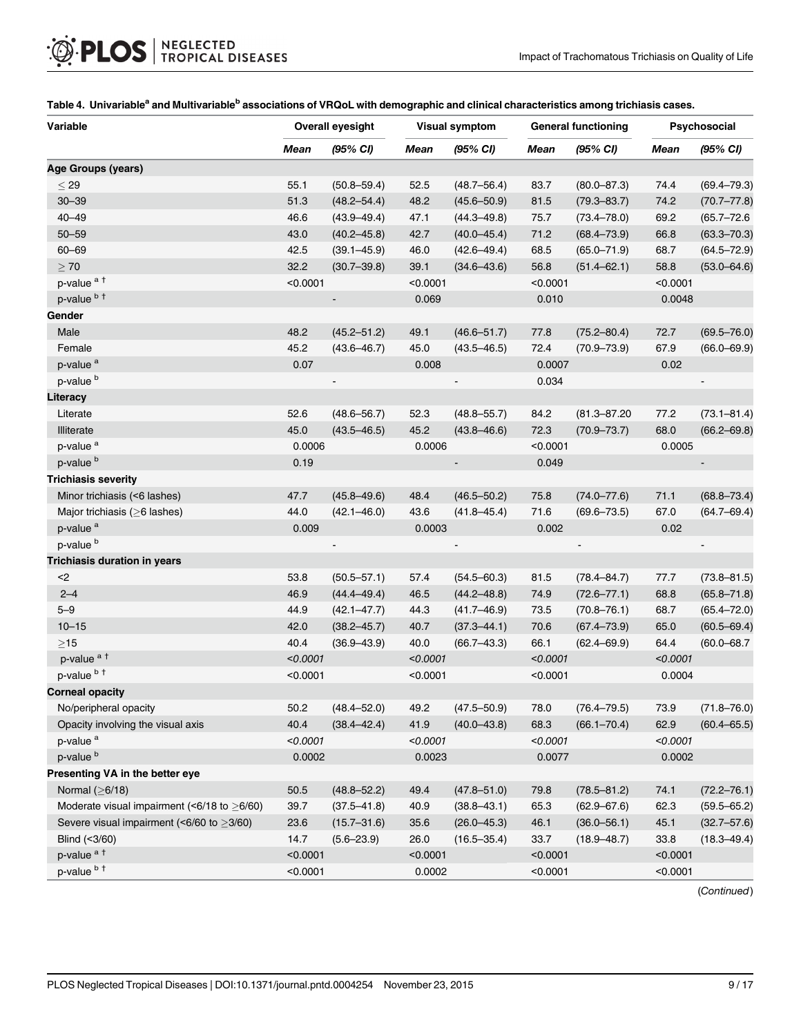| Variable                                          | <b>Overall eyesight</b> |                 | <b>Visual symptom</b> |                 | <b>General functioning</b> |                  | Psychosocial |                 |
|---------------------------------------------------|-------------------------|-----------------|-----------------------|-----------------|----------------------------|------------------|--------------|-----------------|
|                                                   | Mean                    | (95% CI)        | <b>Mean</b>           | (95% CI)        | Mean                       | (95% CI)         | <b>Mean</b>  | (95% CI)        |
| Age Groups (years)                                |                         |                 |                       |                 |                            |                  |              |                 |
| $<$ 29                                            | 55.1                    | $(50.8 - 59.4)$ | 52.5                  | $(48.7 - 56.4)$ | 83.7                       | $(80.0 - 87.3)$  | 74.4         | $(69.4 - 79.3)$ |
| $30 - 39$                                         | 51.3                    | $(48.2 - 54.4)$ | 48.2                  | $(45.6 - 50.9)$ | 81.5                       | $(79.3 - 83.7)$  | 74.2         | $(70.7 - 77.8)$ |
| $40 - 49$                                         | 46.6                    | $(43.9 - 49.4)$ | 47.1                  | $(44.3 - 49.8)$ | 75.7                       | $(73.4 - 78.0)$  | 69.2         | $(65.7 - 72.6)$ |
| $50 - 59$                                         | 43.0                    | $(40.2 - 45.8)$ | 42.7                  | $(40.0 - 45.4)$ | 71.2                       | $(68.4 - 73.9)$  | 66.8         | $(63.3 - 70.3)$ |
| $60 - 69$                                         | 42.5                    | $(39.1 - 45.9)$ | 46.0                  | $(42.6 - 49.4)$ | 68.5                       | $(65.0 - 71.9)$  | 68.7         | $(64.5 - 72.9)$ |
| $\geq 70$                                         | 32.2                    | $(30.7 - 39.8)$ | 39.1                  | $(34.6 - 43.6)$ | 56.8                       | $(51.4 - 62.1)$  | 58.8         | $(53.0 - 64.6)$ |
| p-value <sup>at</sup>                             | < 0.0001                |                 | < 0.0001              |                 | < 0.0001                   |                  | < 0.0001     |                 |
| p-value b t                                       |                         |                 | 0.069                 |                 | 0.010                      |                  | 0.0048       |                 |
| Gender                                            |                         |                 |                       |                 |                            |                  |              |                 |
| Male                                              | 48.2                    | $(45.2 - 51.2)$ | 49.1                  | $(46.6 - 51.7)$ | 77.8                       | $(75.2 - 80.4)$  | 72.7         | $(69.5 - 76.0)$ |
| Female                                            | 45.2                    | $(43.6 - 46.7)$ | 45.0                  | $(43.5 - 46.5)$ | 72.4                       | $(70.9 - 73.9)$  | 67.9         | $(66.0 - 69.9)$ |
| p-value <sup>a</sup>                              | 0.07                    |                 | 0.008                 |                 | 0.0007                     |                  | 0.02         |                 |
| p-value <sup>b</sup>                              |                         |                 |                       |                 | 0.034                      |                  |              |                 |
| Literacy                                          |                         |                 |                       |                 |                            |                  |              |                 |
| Literate                                          | 52.6                    | $(48.6 - 56.7)$ | 52.3                  | $(48.8 - 55.7)$ | 84.2                       | $(81.3 - 87.20)$ | 77.2         | $(73.1 - 81.4)$ |
| <b>Illiterate</b>                                 | 45.0                    | $(43.5 - 46.5)$ | 45.2                  | $(43.8 - 46.6)$ | 72.3                       | $(70.9 - 73.7)$  | 68.0         | $(66.2 - 69.8)$ |
| p-value <sup>a</sup>                              | 0.0006                  |                 | 0.0006                |                 | < 0.0001                   |                  | 0.0005       |                 |
| p-value <sup>b</sup>                              | 0.19                    |                 |                       | $\blacksquare$  | 0.049                      |                  |              |                 |
| <b>Trichiasis severity</b>                        |                         |                 |                       |                 |                            |                  |              |                 |
| Minor trichiasis (<6 lashes)                      | 47.7                    | $(45.8 - 49.6)$ | 48.4                  | $(46.5 - 50.2)$ | 75.8                       | $(74.0 - 77.6)$  | 71.1         | $(68.8 - 73.4)$ |
| Major trichiasis ( $\geq$ 6 lashes)               | 44.0                    | $(42.1 - 46.0)$ | 43.6                  | $(41.8 - 45.4)$ | 71.6                       | $(69.6 - 73.5)$  | 67.0         | $(64.7 - 69.4)$ |
| p-value <sup>a</sup>                              | 0.009                   |                 | 0.0003                |                 | 0.002                      |                  | 0.02         |                 |
| p-value <sup>b</sup>                              |                         | $\blacksquare$  |                       | $\blacksquare$  |                            | $\blacksquare$   |              |                 |
| Trichiasis duration in years                      |                         |                 |                       |                 |                            |                  |              |                 |
| $2$                                               | 53.8                    | $(50.5 - 57.1)$ | 57.4                  | $(54.5 - 60.3)$ | 81.5                       | $(78.4 - 84.7)$  | 77.7         | $(73.8 - 81.5)$ |
| $2 - 4$                                           | 46.9                    | $(44.4 - 49.4)$ | 46.5                  | $(44.2 - 48.8)$ | 74.9                       | $(72.6 - 77.1)$  | 68.8         | $(65.8 - 71.8)$ |
| $5 - 9$                                           | 44.9                    | $(42.1 - 47.7)$ | 44.3                  | $(41.7 - 46.9)$ | 73.5                       | $(70.8 - 76.1)$  | 68.7         | $(65.4 - 72.0)$ |
| $10 - 15$                                         | 42.0                    | $(38.2 - 45.7)$ | 40.7                  | $(37.3 - 44.1)$ | 70.6                       | $(67.4 - 73.9)$  | 65.0         | $(60.5 - 69.4)$ |
| $\geq$ 15                                         | 40.4                    | $(36.9 - 43.9)$ | 40.0                  | $(66.7 - 43.3)$ | 66.1                       | $(62.4 - 69.9)$  | 64.4         | $(60.0 - 68.7)$ |
| p-value <sup>at</sup>                             | < 0.0001                |                 | < 0.0001              |                 | < 0.0001                   |                  | < 0.0001     |                 |
| p-value b +                                       | < 0.0001                |                 | < 0.0001              |                 | < 0.0001                   |                  | 0.0004       |                 |
| <b>Corneal opacity</b>                            |                         |                 |                       |                 |                            |                  |              |                 |
| No/peripheral opacity                             | 50.2                    | $(48.4 - 52.0)$ | 49.2                  | $(47.5 - 50.9)$ | 78.0                       | $(76.4 - 79.5)$  | 73.9         | $(71.8 - 76.0)$ |
| Opacity involving the visual axis                 | 40.4                    | $(38.4 - 42.4)$ | 41.9                  | $(40.0 - 43.8)$ | 68.3                       | $(66.1 - 70.4)$  | 62.9         | $(60.4 - 65.5)$ |
| p-value <sup>a</sup>                              | < 0.0001                |                 | < 0.0001              |                 | < 0.0001                   |                  | < 0.0001     |                 |
| p-value <sup>b</sup>                              | 0.0002                  |                 | 0.0023                |                 | 0.0077                     |                  | 0.0002       |                 |
| Presenting VA in the better eye                   |                         |                 |                       |                 |                            |                  |              |                 |
| Normal $(≥6/18)$                                  | $50.5\,$                | $(48.8 - 52.2)$ | 49.4                  | $(47.8 - 51.0)$ | 79.8                       | $(78.5 - 81.2)$  | 74.1         | $(72.2 - 76.1)$ |
| Moderate visual impairment (<6/18 to $\geq$ 6/60) | 39.7                    | $(37.5 - 41.8)$ | 40.9                  | $(38.8 - 43.1)$ | 65.3                       | $(62.9 - 67.6)$  | 62.3         | $(59.5 - 65.2)$ |
| Severe visual impairment (<6/60 to $\geq$ 3/60)   | 23.6                    | $(15.7 - 31.6)$ | 35.6                  | $(26.0 - 45.3)$ | 46.1                       | $(36.0 - 56.1)$  | 45.1         | $(32.7 - 57.6)$ |
| Blind (<3/60)                                     | 14.7                    | $(5.6 - 23.9)$  | 26.0                  | $(16.5 - 35.4)$ | 33.7                       | $(18.9 - 48.7)$  | 33.8         | $(18.3 - 49.4)$ |
| p-value <sup>at</sup>                             | < 0.0001                |                 | < 0.0001              |                 | < 0.0001                   |                  | < 0.0001     |                 |
| p-value b +                                       | < 0.0001                |                 | 0.0002                |                 | < 0.0001                   |                  | < 0.0001     |                 |

#### <span id="page-8-0"></span>[Table 4.](#page-5-0) Univariable<sup>a</sup> and Multivariable<sup>b</sup> associations of VRQoL with demographic and clinical characteristics among trichiasis cases.

(Continued)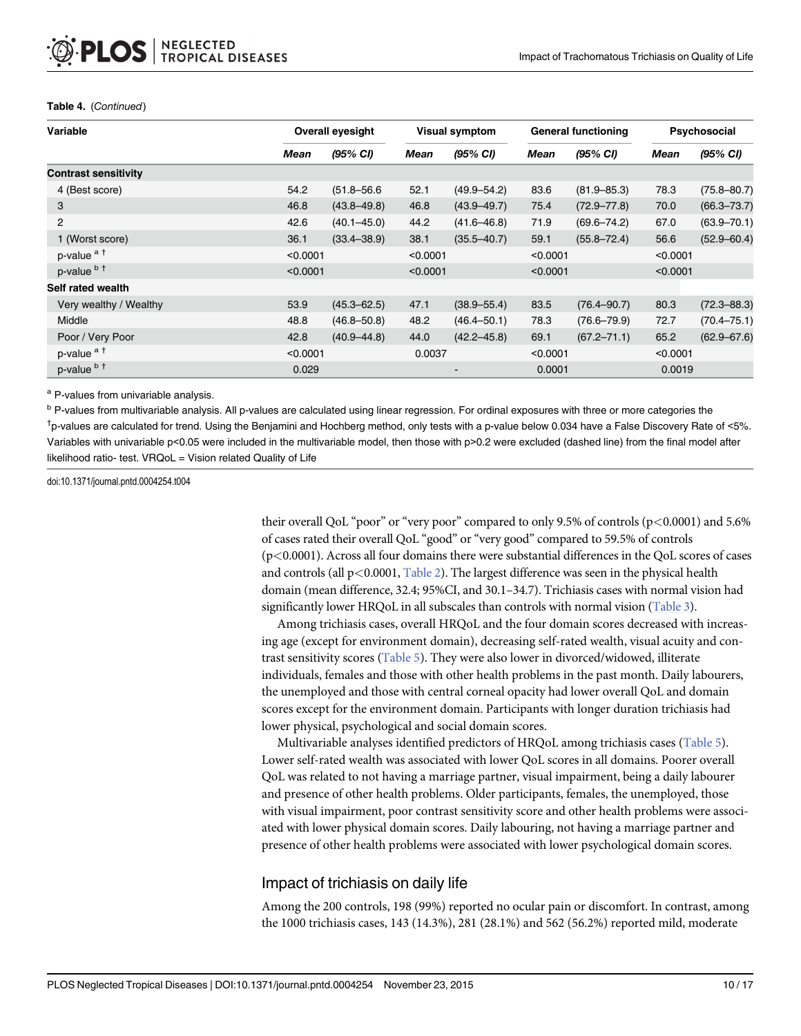| Variable                    |          | <b>Overall eyesight</b> |          | Visual symptom  |             | <b>General functioning</b> |          | Psychosocial    |  |
|-----------------------------|----------|-------------------------|----------|-----------------|-------------|----------------------------|----------|-----------------|--|
|                             | Mean     | (95% CI)                | Mean     | (95% CI)        | <b>Mean</b> | (95% CI)                   | Mean     | (95% CI)        |  |
| <b>Contrast sensitivity</b> |          |                         |          |                 |             |                            |          |                 |  |
| 4 (Best score)              | 54.2     | $(51.8 - 56.6)$         | 52.1     | $(49.9 - 54.2)$ | 83.6        | $(81.9 - 85.3)$            | 78.3     | $(75.8 - 80.7)$ |  |
| 3                           | 46.8     | $(43.8 - 49.8)$         | 46.8     | $(43.9 - 49.7)$ | 75.4        | $(72.9 - 77.8)$            | 70.0     | $(66.3 - 73.7)$ |  |
| $\overline{2}$              | 42.6     | $(40.1 - 45.0)$         | 44.2     | $(41.6 - 46.8)$ |             | $(69.6 - 74.2)$            | 67.0     | $(63.9 - 70.1)$ |  |
| 1 (Worst score)             | 36.1     | $(33.4 - 38.9)$         | 38.1     | $(35.5 - 40.7)$ | 59.1        | $(55.8 - 72.4)$            | 56.6     | $(52.9 - 60.4)$ |  |
| p-value <sup>at</sup>       | < 0.0001 |                         | < 0.0001 |                 | < 0.0001    |                            | < 0.0001 |                 |  |
| p-value b t                 | < 0.0001 |                         | < 0.0001 |                 | < 0.0001    |                            | < 0.0001 |                 |  |
| Self rated wealth           |          |                         |          |                 |             |                            |          |                 |  |
| Very wealthy / Wealthy      | 53.9     | $(45.3 - 62.5)$         | 47.1     | $(38.9 - 55.4)$ | 83.5        | $(76.4 - 90.7)$            | 80.3     | $(72.3 - 88.3)$ |  |
| Middle                      | 48.8     | $(46.8 - 50.8)$         | 48.2     | $(46.4 - 50.1)$ | 78.3        | $(76.6 - 79.9)$            | 72.7     | $(70.4 - 75.1)$ |  |
| Poor / Very Poor            | 42.8     | $(40.9 - 44.8)$         | 44.0     | $(42.2 - 45.8)$ | 69.1        | $(67.2 - 71.1)$            | 65.2     | $(62.9 - 67.6)$ |  |
| p-value <sup>at</sup>       |          | < 0.0001                |          | 0.0037          | < 0.0001    |                            | < 0.0001 |                 |  |
| p-value b t                 | 0.029    |                         |          |                 | 0.0001      |                            | 0.0019   |                 |  |

#### <span id="page-9-0"></span>Table 4. (Continued)

a P-values from univariable analysis.

<sup>b</sup> P-values from multivariable analysis. All p-values are calculated using linear regression. For ordinal exposures with three or more categories the † p-values are calculated for trend. Using the Benjamini and Hochberg method, only tests with a p-value below 0.034 have a False Discovery Rate of <5%. Variables with univariable p<0.05 were included in the multivariable model, then those with p>0.2 were excluded (dashed line) from the final model after likelihood ratio- test. VRQoL = Vision related Quality of Life

doi:10.1371/journal.pntd.0004254.t004

their overall QoL "poor" or "very poor" compared to only 9.5% of controls (p<0.0001) and 5.6% of cases rated their overall QoL "good" or "very good" compared to 59.5% of controls (p<0.0001). Across all four domains there were substantial differences in the QoL scores of cases and controls (all  $p<0.0001$ , [Table 2\)](#page-7-0). The largest difference was seen in the physical health domain (mean difference, 32.4; 95%CI, and 30.1–34.7). Trichiasis cases with normal vision had significantly lower HRQoL in all subscales than controls with normal vision ([Table 3](#page-7-0)).

Among trichiasis cases, overall HRQoL and the four domain scores decreased with increasing age (except for environment domain), decreasing self-rated wealth, visual acuity and contrast sensitivity scores ([Table 5](#page-10-0)). They were also lower in divorced/widowed, illiterate individuals, females and those with other health problems in the past month. Daily labourers, the unemployed and those with central corneal opacity had lower overall QoL and domain scores except for the environment domain. Participants with longer duration trichiasis had lower physical, psychological and social domain scores.

Multivariable analyses identified predictors of HRQoL among trichiasis cases [\(Table 5\)](#page-10-0). Lower self-rated wealth was associated with lower QoL scores in all domains. Poorer overall QoL was related to not having a marriage partner, visual impairment, being a daily labourer and presence of other health problems. Older participants, females, the unemployed, those with visual impairment, poor contrast sensitivity score and other health problems were associated with lower physical domain scores. Daily labouring, not having a marriage partner and presence of other health problems were associated with lower psychological domain scores.

## Impact of trichiasis on daily life

Among the 200 controls, 198 (99%) reported no ocular pain or discomfort. In contrast, among the 1000 trichiasis cases, 143 (14.3%), 281 (28.1%) and 562 (56.2%) reported mild, moderate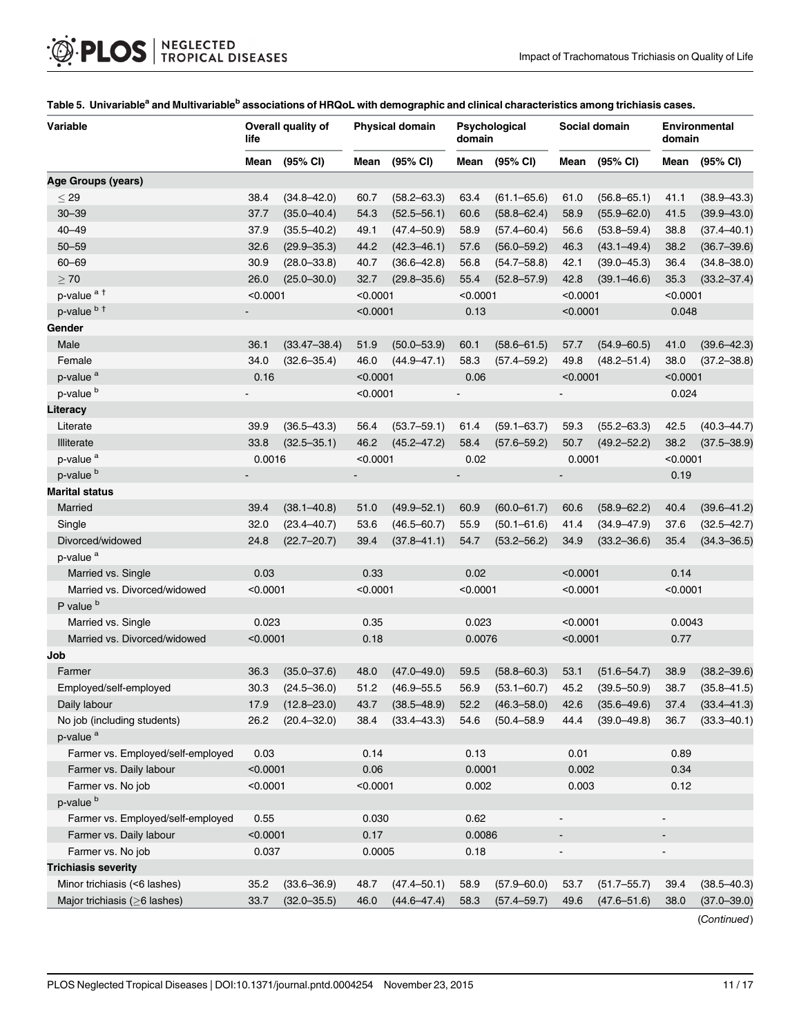| life<br>domain                                                                                                                                  |                              | Environmental<br>domain |  |
|-------------------------------------------------------------------------------------------------------------------------------------------------|------------------------------|-------------------------|--|
| (95% CI)<br>(95% CI)<br>(95% CI)<br>(95% CI)<br>Mean<br>Mean<br>Mean<br>Mean                                                                    | Mean                         | (95% CI)                |  |
| Age Groups (years)                                                                                                                              |                              |                         |  |
| $<$ 29<br>38.4<br>$(34.8 - 42.0)$<br>60.7<br>$(58.2 - 63.3)$<br>63.4<br>$(61.1 - 65.6)$<br>61.0<br>$(56.8 - 65.1)$                              | 41.1                         | $(38.9 - 43.3)$         |  |
| $30 - 39$<br>37.7<br>$(35.0 - 40.4)$<br>$(52.5 - 56.1)$<br>58.9<br>$(55.9 - 62.0)$<br>54.3<br>60.6<br>$(58.8 - 62.4)$                           | 41.5                         | $(39.9 - 43.0)$         |  |
| $40 - 49$<br>37.9<br>$(35.5 - 40.2)$<br>$(47.4 - 50.9)$<br>58.9<br>$(57.4 - 60.4)$<br>56.6<br>$(53.8 - 59.4)$<br>49.1                           | 38.8                         | $(37.4 - 40.1)$         |  |
| $50 - 59$<br>32.6<br>$(42.3 - 46.1)$<br>$(43.1 - 49.4)$<br>$(29.9 - 35.3)$<br>44.2<br>57.6<br>$(56.0 - 59.2)$<br>46.3                           | 38.2                         | $(36.7 - 39.6)$         |  |
| $60 - 69$<br>30.9<br>56.8<br>42.1<br>$(39.0 - 45.3)$<br>$(28.0 - 33.8)$<br>40.7<br>$(36.6 - 42.8)$<br>$(54.7 - 58.8)$                           | 36.4                         | $(34.8 - 38.0)$         |  |
| $\geq 70$<br>26.0<br>$(25.0 - 30.0)$<br>32.7<br>$(29.8 - 35.6)$<br>55.4<br>$(52.8 - 57.9)$<br>42.8<br>$(39.1 - 46.6)$                           | 35.3                         | $(33.2 - 37.4)$         |  |
| p-value <sup>at</sup><br>< 0.0001<br>< 0.0001<br>< 0.0001<br>< 0.0001                                                                           | < 0.0001                     |                         |  |
| p-value b t<br>< 0.0001<br>0.13<br>< 0.0001                                                                                                     | 0.048                        |                         |  |
| Gender                                                                                                                                          |                              |                         |  |
| Male<br>36.1<br>$(33.47 - 38.4)$<br>51.9<br>$(50.0 - 53.9)$<br>60.1<br>$(58.6 - 61.5)$<br>57.7<br>$(54.9 - 60.5)$                               | 41.0                         | $(39.6 - 42.3)$         |  |
| Female<br>34.0<br>$(32.6 - 35.4)$<br>46.0<br>$(44.9 - 47.1)$<br>58.3<br>$(57.4 - 59.2)$<br>49.8<br>$(48.2 - 51.4)$                              | 38.0                         | $(37.2 - 38.8)$         |  |
| p-value <sup>a</sup><br>0.16<br>< 0.0001<br>0.06<br>< 0.0001                                                                                    | < 0.0001                     |                         |  |
| p-value <sup>b</sup><br>< 0.0001                                                                                                                | 0.024                        |                         |  |
| Literacy                                                                                                                                        |                              |                         |  |
| 39.9<br>Literate<br>$(36.5 - 43.3)$<br>56.4<br>$(53.7 - 59.1)$<br>61.4<br>$(59.1 - 63.7)$<br>59.3<br>$(55.2 - 63.3)$                            | 42.5                         | $(40.3 - 44.7)$         |  |
| 33.8<br>46.2<br>50.7<br><b>Illiterate</b><br>$(32.5 - 35.1)$<br>$(45.2 - 47.2)$<br>58.4<br>$(57.6 - 59.2)$<br>$(49.2 - 52.2)$                   | 38.2                         | $(37.5 - 38.9)$         |  |
| p-value <sup>a</sup><br>0.0016<br>< 0.0001<br>0.02<br>0.0001                                                                                    | < 0.0001                     |                         |  |
| p-value <sup>b</sup><br>$\overline{a}$                                                                                                          | 0.19                         |                         |  |
| <b>Marital status</b>                                                                                                                           |                              |                         |  |
| Married<br>39.4<br>$(38.1 - 40.8)$<br>$(49.9 - 52.1)$<br>60.9<br>$(60.0 - 61.7)$<br>60.6<br>$(58.9 - 62.2)$<br>51.0                             | 40.4                         | $(39.6 - 41.2)$         |  |
| Single<br>32.0<br>$(23.4 - 40.7)$<br>53.6<br>$(46.5 - 60.7)$<br>55.9<br>$(50.1 - 61.6)$<br>41.4<br>$(34.9 - 47.9)$                              | 37.6                         | $(32.5 - 42.7)$         |  |
| Divorced/widowed<br>24.8<br>$(22.7 - 20.7)$<br>$(37.8 - 41.1)$<br>54.7<br>$(53.2 - 56.2)$<br>39.4<br>34.9<br>$(33.2 - 36.6)$                    | 35.4                         | $(34.3 - 36.5)$         |  |
| p-value <sup>a</sup>                                                                                                                            |                              |                         |  |
| 0.33<br>0.02<br>< 0.0001<br>Married vs. Single<br>0.03                                                                                          | 0.14                         |                         |  |
| Married vs. Divorced/widowed<br>< 0.0001<br>< 0.0001<br>< 0.0001<br>< 0.0001                                                                    | < 0.0001                     |                         |  |
| P value <sup>b</sup>                                                                                                                            |                              |                         |  |
| 0.023<br>0.35<br>0.023<br>< 0.0001<br>Married vs. Single                                                                                        | 0.0043                       |                         |  |
| Married vs. Divorced/widowed<br>< 0.0001<br>0.18<br>0.0076<br>< 0.0001                                                                          | 0.77                         |                         |  |
| Job                                                                                                                                             |                              |                         |  |
| 36.3<br>48.0<br>Farmer<br>$(35.0 - 37.6)$<br>$(47.0 - 49.0)$<br>59.5<br>$(58.8 - 60.3)$<br>53.1<br>$(51.6 - 54.7)$                              | 38.9                         | $(38.2 - 39.6)$         |  |
| Employed/self-employed<br>30.3<br>$(24.5 - 36.0)$<br>51.2<br>$(46.9 - 55.5)$<br>56.9<br>$(53.1 - 60.7)$<br>45.2<br>$(39.5 - 50.9)$              | 38.7                         | $(35.8 - 41.5)$         |  |
| 17.9 (12.8-23.0)<br>43.7 (38.5–48.9)<br>52.2 (46.3–58.0) 42.6 (35.6–49.6)<br>Daily labour                                                       |                              | $37.4$ $(33.4 - 41.3)$  |  |
| No job (including students)<br>26.2<br>$(20.4 - 32.0)$<br>$(33.4 - 43.3)$<br>$(50.4 - 58.9)$<br>44.4<br>$(39.0 - 49.8)$<br>38.4<br>54.6         | 36.7                         | $(33.3 - 40.1)$         |  |
| p-value <sup>a</sup>                                                                                                                            |                              |                         |  |
| Farmer vs. Employed/self-employed<br>0.03<br>0.14<br>0.13<br>0.01                                                                               | 0.89                         |                         |  |
| Farmer vs. Daily labour<br>< 0.0001<br>0.06<br>0.0001<br>0.002                                                                                  | 0.34                         |                         |  |
| Farmer vs. No job<br>< 0.0001<br>< 0.0001<br>0.002<br>0.003                                                                                     | 0.12                         |                         |  |
| p-value <sup>b</sup>                                                                                                                            |                              |                         |  |
| Farmer vs. Employed/self-employed<br>0.62<br>0.55<br>0.030<br>$\qquad \qquad \blacksquare$                                                      | $\blacksquare$               |                         |  |
| Farmer vs. Daily labour<br>< 0.0001<br>0.17<br>0.0086<br>$\overline{\phantom{a}}$                                                               | -                            |                         |  |
| 0.18<br>Farmer vs. No job<br>0.037<br>0.0005                                                                                                    | $\qquad \qquad \blacksquare$ |                         |  |
| <b>Trichiasis severity</b>                                                                                                                      |                              |                         |  |
| Minor trichiasis (<6 lashes)<br>$(33.6 - 36.9)$<br>35.2<br>48.7<br>$(47.4 - 50.1)$<br>58.9<br>$(57.9 - 60.0)$<br>53.7<br>$(51.7 - 55.7)$        | 39.4                         | $(38.5 - 40.3)$         |  |
| Major trichiasis ( $\geq$ 6 lashes)<br>33.7<br>$(32.0 - 35.5)$<br>46.0<br>$(44.6 - 47.4)$<br>58.3<br>$(57.4 - 59.7)$<br>49.6<br>$(47.6 - 51.6)$ | 38.0                         | $(37.0 - 39.0)$         |  |

#### <span id="page-10-0"></span>[Table 5.](#page-9-0) Univariable<sup>a</sup> and Multivariable<sup>b</sup> associations of HRQoL with demographic and clinical characteristics among trichiasis cases.

(Continued)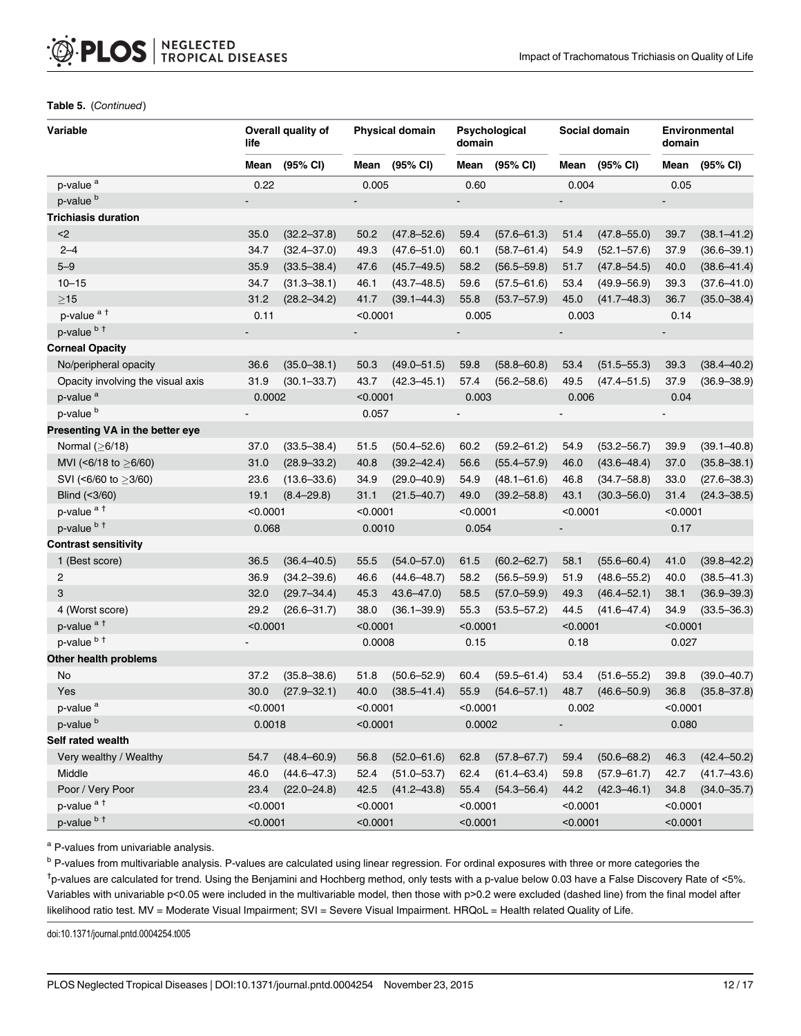#### Table 5. (Continued)

| Variable                          | life                     | Overall quality of |          | <b>Physical domain</b> |                | Psychological<br>domain |                              | Social domain   |                          | Environmental<br>domain |  |
|-----------------------------------|--------------------------|--------------------|----------|------------------------|----------------|-------------------------|------------------------------|-----------------|--------------------------|-------------------------|--|
|                                   | Mean                     | (95% CI)           | Mean     | (95% CI)               | Mean           | (95% CI)                | Mean                         | (95% CI)        | Mean                     | (95% CI)                |  |
| p-value <sup>a</sup>              | 0.22                     |                    | 0.005    |                        | 0.60           |                         | 0.004                        |                 | 0.05                     |                         |  |
| p-value <sup>b</sup>              | $\overline{\phantom{a}}$ |                    |          |                        | $\overline{a}$ |                         | $\overline{a}$               |                 | $\overline{\phantom{a}}$ |                         |  |
| <b>Trichiasis duration</b>        |                          |                    |          |                        |                |                         |                              |                 |                          |                         |  |
| $2$                               | 35.0                     | $(32.2 - 37.8)$    | 50.2     | $(47.8 - 52.6)$        | 59.4           | $(57.6 - 61.3)$         | 51.4                         | $(47.8 - 55.0)$ | 39.7                     | $(38.1 - 41.2)$         |  |
| $2 - 4$                           | 34.7                     | $(32.4 - 37.0)$    | 49.3     | $(47.6 - 51.0)$        | 60.1           | $(58.7 - 61.4)$         | 54.9                         | $(52.1 - 57.6)$ | 37.9                     | $(36.6 - 39.1)$         |  |
| $5 - 9$                           | 35.9                     | $(33.5 - 38.4)$    | 47.6     | $(45.7 - 49.5)$        | 58.2           | $(56.5 - 59.8)$         | 51.7                         | $(47.8 - 54.5)$ | 40.0                     | $(38.6 - 41.4)$         |  |
| $10 - 15$                         | 34.7                     | $(31.3 - 38.1)$    | 46.1     | $(43.7 - 48.5)$        | 59.6           | $(57.5 - 61.6)$         | 53.4                         | $(49.9 - 56.9)$ | 39.3                     | $(37.6 - 41.0)$         |  |
| $\geq$ 15                         | 31.2                     | $(28.2 - 34.2)$    | 41.7     | $(39.1 - 44.3)$        | 55.8           | $(53.7 - 57.9)$         | 45.0                         | $(41.7 - 48.3)$ | 36.7                     | $(35.0 - 38.4)$         |  |
| p-value <sup>at</sup>             | 0.11                     |                    | < 0.0001 |                        | 0.005          |                         | 0.003                        |                 | 0.14                     |                         |  |
| p-value b t                       |                          |                    |          |                        | -              |                         |                              |                 |                          |                         |  |
| <b>Corneal Opacity</b>            |                          |                    |          |                        |                |                         |                              |                 |                          |                         |  |
| No/peripheral opacity             | 36.6                     | $(35.0 - 38.1)$    | 50.3     | $(49.0 - 51.5)$        | 59.8           | $(58.8 - 60.8)$         | 53.4                         | $(51.5 - 55.3)$ | 39.3                     | $(38.4 - 40.2)$         |  |
| Opacity involving the visual axis | 31.9                     | $(30.1 - 33.7)$    | 43.7     | $(42.3 - 45.1)$        | 57.4           | $(56.2 - 58.6)$         | 49.5                         | $(47.4 - 51.5)$ | 37.9                     | $(36.9 - 38.9)$         |  |
| p-value <sup>a</sup>              | 0.0002                   |                    | < 0.0001 |                        | 0.003          |                         | 0.006                        |                 | 0.04                     |                         |  |
| p-value <sup>b</sup>              |                          |                    | 0.057    |                        |                |                         |                              |                 |                          |                         |  |
| Presenting VA in the better eye   |                          |                    |          |                        |                |                         |                              |                 |                          |                         |  |
| Normal $(≥6/18)$                  | 37.0                     | $(33.5 - 38.4)$    | 51.5     | $(50.4 - 52.6)$        | 60.2           | $(59.2 - 61.2)$         | 54.9                         | $(53.2 - 56.7)$ | 39.9                     | $(39.1 - 40.8)$         |  |
| MVI (<6/18 to $\geq$ 6/60)        | 31.0                     | $(28.9 - 33.2)$    | 40.8     | $(39.2 - 42.4)$        | 56.6           | $(55.4 - 57.9)$         | 46.0                         | $(43.6 - 48.4)$ | 37.0                     | $(35.8 - 38.1)$         |  |
| SVI (<6/60 to >3/60)              | 23.6                     | $(13.6 - 33.6)$    | 34.9     | $(29.0 - 40.9)$        | 54.9           | $(48.1 - 61.6)$         | 46.8                         | $(34.7 - 58.8)$ | 33.0                     | $(27.6 - 38.3)$         |  |
| Blind (<3/60)                     | 19.1                     | $(8.4 - 29.8)$     | 31.1     | $(21.5 - 40.7)$        | 49.0           | $(39.2 - 58.8)$         | 43.1                         | $(30.3 - 56.0)$ | 31.4                     | $(24.3 - 38.5)$         |  |
| p-value <sup>at</sup>             | < 0.0001                 |                    | < 0.0001 |                        | < 0.0001       |                         | < 0.0001                     |                 | < 0.0001                 |                         |  |
| p-value b t                       | 0.068                    |                    | 0.0010   |                        | 0.054          |                         | $\qquad \qquad \blacksquare$ |                 | 0.17                     |                         |  |
| <b>Contrast sensitivity</b>       |                          |                    |          |                        |                |                         |                              |                 |                          |                         |  |
| 1 (Best score)                    | 36.5                     | $(36.4 - 40.5)$    | 55.5     | $(54.0 - 57.0)$        | 61.5           | $(60.2 - 62.7)$         | 58.1                         | $(55.6 - 60.4)$ | 41.0                     | $(39.8 - 42.2)$         |  |
| $\overline{c}$                    | 36.9                     | $(34.2 - 39.6)$    | 46.6     | $(44.6 - 48.7)$        | 58.2           | $(56.5 - 59.9)$         | 51.9                         | $(48.6 - 55.2)$ | 40.0                     | $(38.5 - 41.3)$         |  |
| 3                                 | 32.0                     | $(29.7 - 34.4)$    | 45.3     | $43.6 - 47.0$          | 58.5           | $(57.0 - 59.9)$         | 49.3                         | $(46.4 - 52.1)$ | 38.1                     | $(36.9 - 39.3)$         |  |
| 4 (Worst score)                   | 29.2                     | $(26.6 - 31.7)$    | 38.0     | $(36.1 - 39.9)$        | 55.3           | $(53.5 - 57.2)$         | 44.5                         | $(41.6 - 47.4)$ | 34.9                     | $(33.5 - 36.3)$         |  |
| p-value <sup>at</sup>             | < 0.0001                 |                    | < 0.0001 |                        |                | < 0.0001                |                              | < 0.0001        |                          | < 0.0001                |  |
| p-value <sup>bt</sup>             |                          |                    | 0.0008   |                        | 0.15           |                         | 0.18                         |                 | 0.027                    |                         |  |
| Other health problems             |                          |                    |          |                        |                |                         |                              |                 |                          |                         |  |
| No                                | 37.2                     | $(35.8 - 38.6)$    | 51.8     | $(50.6 - 52.9)$        | 60.4           | $(59.5 - 61.4)$         | 53.4                         | $(51.6 - 55.2)$ | 39.8                     | $(39.0 - 40.7)$         |  |
| Yes                               | 30.0                     | $(27.9 - 32.1)$    | 40.0     | $(38.5 - 41.4)$        | 55.9           | $(54.6 - 57.1)$         | 48.7                         | $(46.6 - 50.9)$ | 36.8                     | $(35.8 - 37.8)$         |  |
| p-value <sup>a</sup>              | < 0.0001                 |                    | <0.0001  |                        | <0.0001        |                         | 0.002                        |                 | < 0.0001                 |                         |  |
| p-value <sup>b</sup>              | 0.0018                   |                    | < 0.0001 |                        | 0.0002         |                         | $\qquad \qquad \blacksquare$ |                 | 0.080                    |                         |  |
| Self rated wealth                 |                          |                    |          |                        |                |                         |                              |                 |                          |                         |  |
| Very wealthy / Wealthy            | 54.7                     | $(48.4 - 60.9)$    | 56.8     | $(52.0 - 61.6)$        | 62.8           | $(57.8 - 67.7)$         | 59.4                         | $(50.6 - 68.2)$ | 46.3                     | $(42.4 - 50.2)$         |  |
| Middle                            | 46.0                     | $(44.6 - 47.3)$    | 52.4     | $(51.0 - 53.7)$        | 62.4           | $(61.4 - 63.4)$         | 59.8                         | $(57.9 - 61.7)$ | 42.7                     | $(41.7 - 43.6)$         |  |
| Poor / Very Poor                  | 23.4                     | $(22.0 - 24.8)$    | 42.5     | $(41.2 - 43.8)$        | 55.4           | $(54.3 - 56.4)$         | 44.2                         | $(42.3 - 46.1)$ | 34.8                     | $(34.0 - 35.7)$         |  |
| p-value <sup>at</sup>             | < 0.0001                 |                    | < 0.0001 |                        | < 0.0001       |                         | < 0.0001                     |                 | < 0.0001                 |                         |  |
| p-value <sup>bt</sup>             |                          | < 0.0001           |          | < 0.0001               | < 0.0001       |                         |                              | < 0.0001        |                          | < 0.0001                |  |

a P-values from univariable analysis.

<sup>b</sup> P-values from multivariable analysis. P-values are calculated using linear regression. For ordinal exposures with three or more categories the † p-values are calculated for trend. Using the Benjamini and Hochberg method, only tests with a p-value below 0.03 have a False Discovery Rate of <5%. Variables with univariable p<0.05 were included in the multivariable model, then those with p>0.2 were excluded (dashed line) from the final model after likelihood ratio test. MV = Moderate Visual Impairment; SVI = Severe Visual Impairment. HRQoL = Health related Quality of Life.

doi:10.1371/journal.pntd.0004254.t005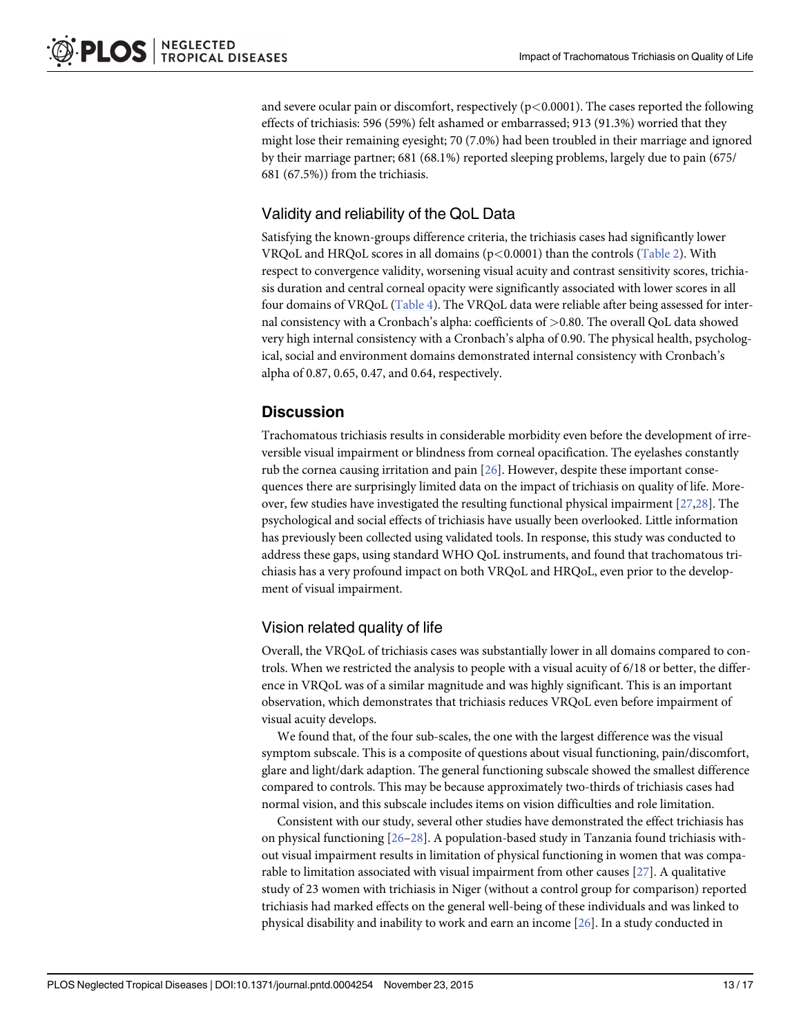<span id="page-12-0"></span>and severe ocular pain or discomfort, respectively  $(p<0.0001)$ . The cases reported the following effects of trichiasis: 596 (59%) felt ashamed or embarrassed; 913 (91.3%) worried that they might lose their remaining eyesight; 70 (7.0%) had been troubled in their marriage and ignored by their marriage partner; 681 (68.1%) reported sleeping problems, largely due to pain (675/ 681 (67.5%)) from the trichiasis.

## Validity and reliability of the QoL Data

Satisfying the known-groups difference criteria, the trichiasis cases had significantly lower VRQoL and HRQoL scores in all domains  $(p<0.0001)$  than the controls [\(Table 2](#page-7-0)). With respect to convergence validity, worsening visual acuity and contrast sensitivity scores, trichiasis duration and central corneal opacity were significantly associated with lower scores in all four domains of VRQoL [\(Table 4](#page-8-0)). The VRQoL data were reliable after being assessed for internal consistency with a Cronbach's alpha: coefficients of >0.80. The overall QoL data showed very high internal consistency with a Cronbach's alpha of 0.90. The physical health, psychological, social and environment domains demonstrated internal consistency with Cronbach's alpha of 0.87, 0.65, 0.47, and 0.64, respectively.

## **Discussion**

Trachomatous trichiasis results in considerable morbidity even before the development of irreversible visual impairment or blindness from corneal opacification. The eyelashes constantly rub the cornea causing irritation and pain [[26](#page-16-0)]. However, despite these important consequences there are surprisingly limited data on the impact of trichiasis on quality of life. Moreover, few studies have investigated the resulting functional physical impairment  $[27,28]$  $[27,28]$ . The psychological and social effects of trichiasis have usually been overlooked. Little information has previously been collected using validated tools. In response, this study was conducted to address these gaps, using standard WHO QoL instruments, and found that trachomatous trichiasis has a very profound impact on both VRQoL and HRQoL, even prior to the development of visual impairment.

## Vision related quality of life

Overall, the VRQoL of trichiasis cases was substantially lower in all domains compared to controls. When we restricted the analysis to people with a visual acuity of 6/18 or better, the difference in VRQoL was of a similar magnitude and was highly significant. This is an important observation, which demonstrates that trichiasis reduces VRQoL even before impairment of visual acuity develops.

We found that, of the four sub-scales, the one with the largest difference was the visual symptom subscale. This is a composite of questions about visual functioning, pain/discomfort, glare and light/dark adaption. The general functioning subscale showed the smallest difference compared to controls. This may be because approximately two-thirds of trichiasis cases had normal vision, and this subscale includes items on vision difficulties and role limitation.

Consistent with our study, several other studies have demonstrated the effect trichiasis has on physical functioning  $[26-28]$  $[26-28]$  $[26-28]$ . A population-based study in Tanzania found trichiasis without visual impairment results in limitation of physical functioning in women that was comparable to limitation associated with visual impairment from other causes [[27](#page-16-0)]. A qualitative study of 23 women with trichiasis in Niger (without a control group for comparison) reported trichiasis had marked effects on the general well-being of these individuals and was linked to physical disability and inability to work and earn an income [\[26\]](#page-16-0). In a study conducted in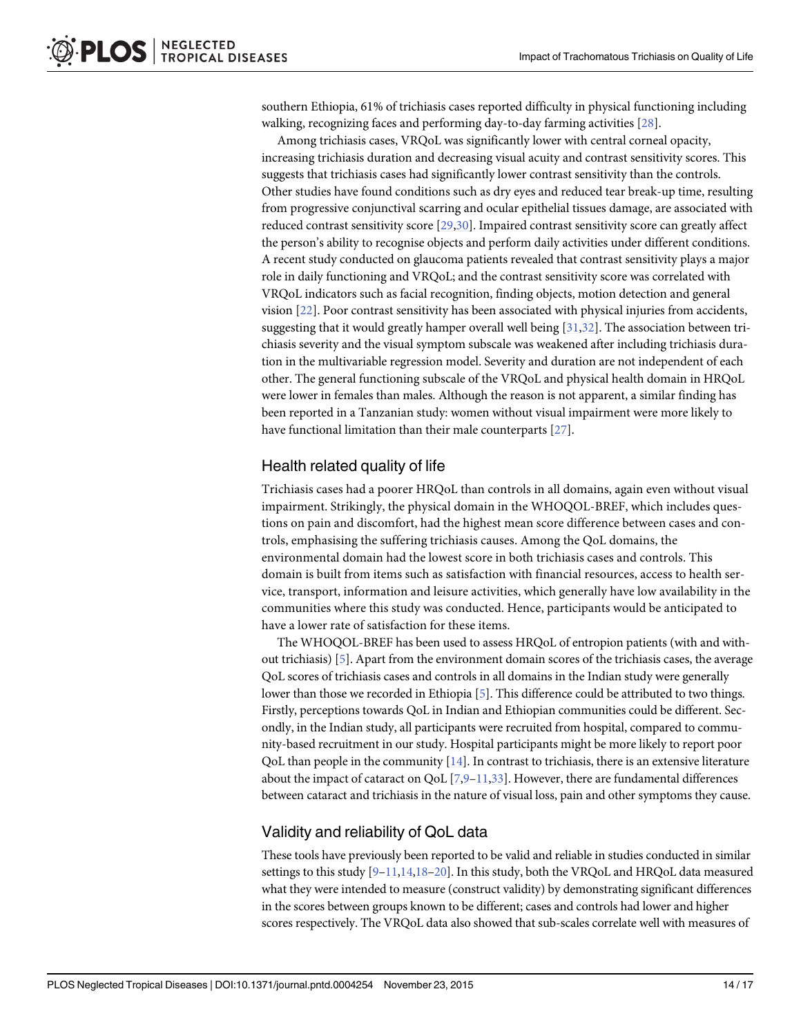<span id="page-13-0"></span>southern Ethiopia, 61% of trichiasis cases reported difficulty in physical functioning including walking, recognizing faces and performing day-to-day farming activities [\[28](#page-16-0)].

Among trichiasis cases, VRQoL was significantly lower with central corneal opacity, increasing trichiasis duration and decreasing visual acuity and contrast sensitivity scores. This suggests that trichiasis cases had significantly lower contrast sensitivity than the controls. Other studies have found conditions such as dry eyes and reduced tear break-up time, resulting from progressive conjunctival scarring and ocular epithelial tissues damage, are associated with reduced contrast sensitivity score [[29,30](#page-16-0)]. Impaired contrast sensitivity score can greatly affect the person's ability to recognise objects and perform daily activities under different conditions. A recent study conducted on glaucoma patients revealed that contrast sensitivity plays a major role in daily functioning and VRQoL; and the contrast sensitivity score was correlated with VRQoL indicators such as facial recognition, finding objects, motion detection and general vision [\[22](#page-16-0)]. Poor contrast sensitivity has been associated with physical injuries from accidents, suggesting that it would greatly hamper overall well being [\[31,32\]](#page-16-0). The association between trichiasis severity and the visual symptom subscale was weakened after including trichiasis duration in the multivariable regression model. Severity and duration are not independent of each other. The general functioning subscale of the VRQoL and physical health domain in HRQoL were lower in females than males. Although the reason is not apparent, a similar finding has been reported in a Tanzanian study: women without visual impairment were more likely to have functional limitation than their male counterparts [[27\]](#page-16-0).

## Health related quality of life

Trichiasis cases had a poorer HRQoL than controls in all domains, again even without visual impairment. Strikingly, the physical domain in the WHOQOL-BREF, which includes questions on pain and discomfort, had the highest mean score difference between cases and controls, emphasising the suffering trichiasis causes. Among the QoL domains, the environmental domain had the lowest score in both trichiasis cases and controls. This domain is built from items such as satisfaction with financial resources, access to health service, transport, information and leisure activities, which generally have low availability in the communities where this study was conducted. Hence, participants would be anticipated to have a lower rate of satisfaction for these items.

The WHOQOL-BREF has been used to assess HRQoL of entropion patients (with and without trichiasis) [\[5](#page-15-0)]. Apart from the environment domain scores of the trichiasis cases, the average QoL scores of trichiasis cases and controls in all domains in the Indian study were generally lower than those we recorded in Ethiopia [[5](#page-15-0)]. This difference could be attributed to two things. Firstly, perceptions towards QoL in Indian and Ethiopian communities could be different. Secondly, in the Indian study, all participants were recruited from hospital, compared to community-based recruitment in our study. Hospital participants might be more likely to report poor QoL than people in the community  $[14]$ . In contrast to trichiasis, there is an extensive literature about the impact of cataract on QoL  $[7,9-11,33]$  $[7,9-11,33]$  $[7,9-11,33]$  $[7,9-11,33]$  $[7,9-11,33]$  $[7,9-11,33]$ . However, there are fundamental differences between cataract and trichiasis in the nature of visual loss, pain and other symptoms they cause.

## Validity and reliability of QoL data

These tools have previously been reported to be valid and reliable in studies conducted in similar settings to this study  $[9-11,14,18-20]$  $[9-11,14,18-20]$  $[9-11,14,18-20]$  $[9-11,14,18-20]$  $[9-11,14,18-20]$  $[9-11,14,18-20]$  $[9-11,14,18-20]$  $[9-11,14,18-20]$  $[9-11,14,18-20]$ . In this study, both the VRQoL and HRQoL data measured what they were intended to measure (construct validity) by demonstrating significant differences in the scores between groups known to be different; cases and controls had lower and higher scores respectively. The VRQoL data also showed that sub-scales correlate well with measures of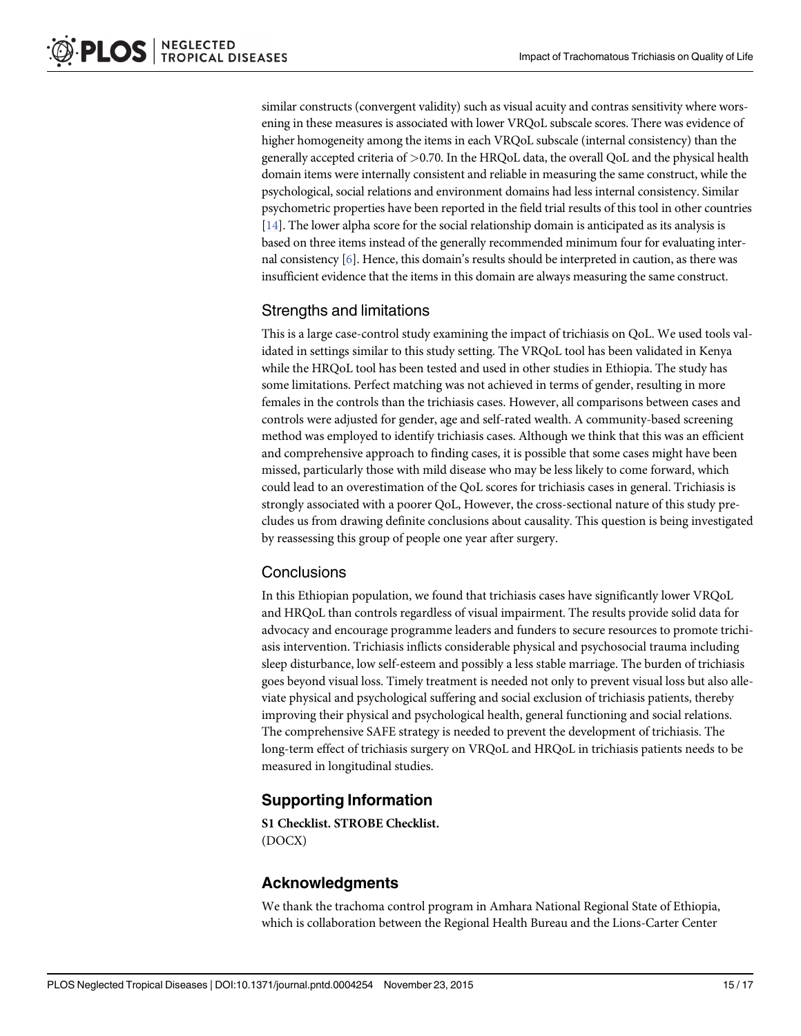similar constructs (convergent validity) such as visual acuity and contras sensitivity where worsening in these measures is associated with lower VRQoL subscale scores. There was evidence of higher homogeneity among the items in each VRQoL subscale (internal consistency) than the generally accepted criteria of >0.70. In the HRQoL data, the overall QoL and the physical health domain items were internally consistent and reliable in measuring the same construct, while the psychological, social relations and environment domains had less internal consistency. Similar psychometric properties have been reported in the field trial results of this tool in other countries [\[14\]](#page-15-0). The lower alpha score for the social relationship domain is anticipated as its analysis is based on three items instead of the generally recommended minimum four for evaluating internal consistency [[6](#page-15-0)]. Hence, this domain's results should be interpreted in caution, as there was insufficient evidence that the items in this domain are always measuring the same construct.

## Strengths and limitations

This is a large case-control study examining the impact of trichiasis on QoL. We used tools validated in settings similar to this study setting. The VRQoL tool has been validated in Kenya while the HRQoL tool has been tested and used in other studies in Ethiopia. The study has some limitations. Perfect matching was not achieved in terms of gender, resulting in more females in the controls than the trichiasis cases. However, all comparisons between cases and controls were adjusted for gender, age and self-rated wealth. A community-based screening method was employed to identify trichiasis cases. Although we think that this was an efficient and comprehensive approach to finding cases, it is possible that some cases might have been missed, particularly those with mild disease who may be less likely to come forward, which could lead to an overestimation of the QoL scores for trichiasis cases in general. Trichiasis is strongly associated with a poorer QoL, However, the cross-sectional nature of this study precludes us from drawing definite conclusions about causality. This question is being investigated by reassessing this group of people one year after surgery.

## **Conclusions**

In this Ethiopian population, we found that trichiasis cases have significantly lower VRQoL and HRQoL than controls regardless of visual impairment. The results provide solid data for advocacy and encourage programme leaders and funders to secure resources to promote trichiasis intervention. Trichiasis inflicts considerable physical and psychosocial trauma including sleep disturbance, low self-esteem and possibly a less stable marriage. The burden of trichiasis goes beyond visual loss. Timely treatment is needed not only to prevent visual loss but also alleviate physical and psychological suffering and social exclusion of trichiasis patients, thereby improving their physical and psychological health, general functioning and social relations. The comprehensive SAFE strategy is needed to prevent the development of trichiasis. The long-term effect of trichiasis surgery on VRQoL and HRQoL in trichiasis patients needs to be measured in longitudinal studies.

## Supporting Information

[S1 Checklist.](http://www.plosone.org/article/fetchSingleRepresentation.action?uri=info:doi/10.1371/journal.pntd.0004254.s001) STROBE Checklist. (DOCX)

## Acknowledgments

We thank the trachoma control program in Amhara National Regional State of Ethiopia, which is collaboration between the Regional Health Bureau and the Lions-Carter Center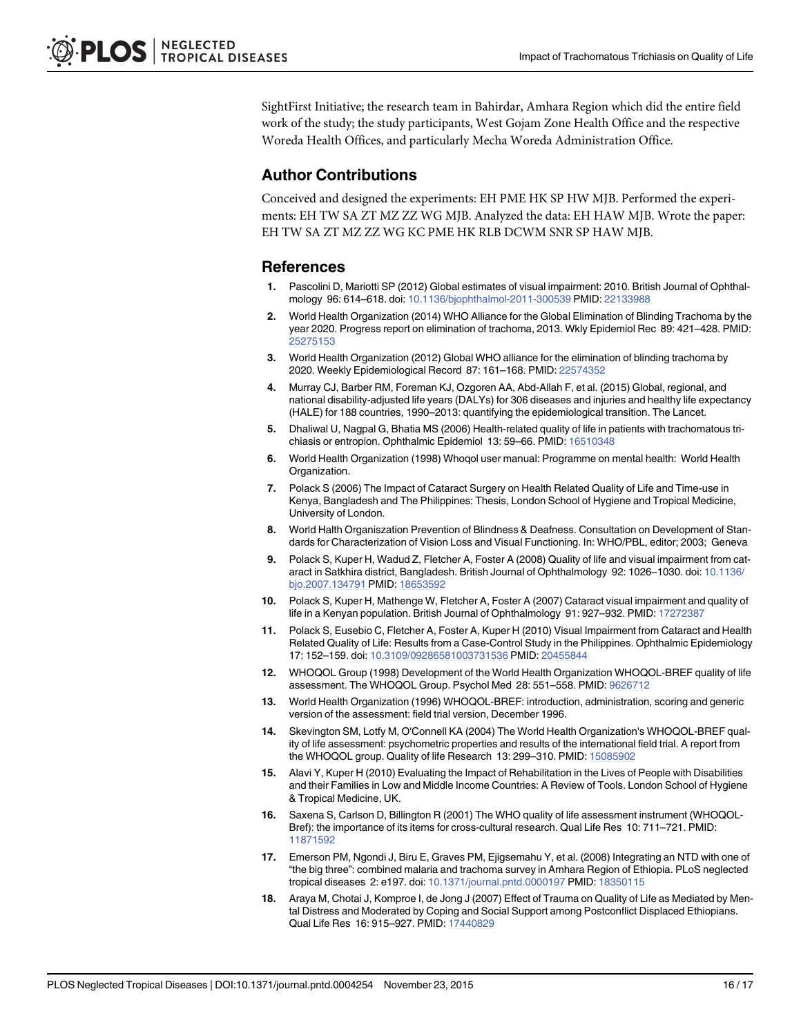<span id="page-15-0"></span>SightFirst Initiative; the research team in Bahirdar, Amhara Region which did the entire field work of the study; the study participants, West Gojam Zone Health Office and the respective Woreda Health Offices, and particularly Mecha Woreda Administration Office.

## Author Contributions

Conceived and designed the experiments: EH PME HK SP HW MJB. Performed the experiments: EH TW SA ZT MZ ZZ WG MJB. Analyzed the data: EH HAW MJB. Wrote the paper: EH TW SA ZT MZ ZZ WG KC PME HK RLB DCWM SNR SP HAW MJB.

#### **References**

- [1.](#page-1-0) Pascolini D, Mariotti SP (2012) Global estimates of visual impairment: 2010. British Journal of Ophthalmology 96: 614–618. doi: [10.1136/bjophthalmol-2011-300539](http://dx.doi.org/10.1136/bjophthalmol-2011-300539) PMID: [22133988](http://www.ncbi.nlm.nih.gov/pubmed/22133988)
- [2.](#page-1-0) World Health Organization (2014) WHO Alliance for the Global Elimination of Blinding Trachoma by the year 2020. Progress report on elimination of trachoma, 2013. Wkly Epidemiol Rec 89: 421–428. PMID: [25275153](http://www.ncbi.nlm.nih.gov/pubmed/25275153)
- [3.](#page-1-0) World Health Organization (2012) Global WHO alliance for the elimination of blinding trachoma by 2020. Weekly Epidemiological Record 87: 161–168. PMID: [22574352](http://www.ncbi.nlm.nih.gov/pubmed/22574352)
- [4.](#page-1-0) Murray CJ, Barber RM, Foreman KJ, Ozgoren AA, Abd-Allah F, et al. (2015) Global, regional, and national disability-adjusted life years (DALYs) for 306 diseases and injuries and healthy life expectancy (HALE) for 188 countries, 1990–2013: quantifying the epidemiological transition. The Lancet.
- [5.](#page-1-0) Dhaliwal U, Nagpal G, Bhatia MS (2006) Health-related quality of life in patients with trachomatous trichiasis or entropion. Ophthalmic Epidemiol 13: 59–66. PMID: [16510348](http://www.ncbi.nlm.nih.gov/pubmed/16510348)
- [6.](#page-2-0) World Health Organization (1998) Whoqol user manual: Programme on mental health: World Health Organization.
- [7.](#page-2-0) Polack S (2006) The Impact of Cataract Surgery on Health Related Quality of Life and Time-use in Kenya, Bangladesh and The Philippines: Thesis, London School of Hygiene and Tropical Medicine, University of London.
- [8.](#page-2-0) World Halth Organiszation Prevention of Blindness & Deafness. Consultation on Development of Standards for Characterization of Vision Loss and Visual Functioning. In: WHO/PBL, editor; 2003; Geneva
- [9.](#page-2-0) Polack S, Kuper H, Wadud Z, Fletcher A, Foster A (2008) Quality of life and visual impairment from cataract in Satkhira district, Bangladesh. British Journal of Ophthalmology 92: 1026–1030. doi: [10.1136/](http://dx.doi.org/10.1136/bjo.2007.134791) [bjo.2007.134791](http://dx.doi.org/10.1136/bjo.2007.134791) PMID: [18653592](http://www.ncbi.nlm.nih.gov/pubmed/18653592)
- 10. Polack S, Kuper H, Mathenge W, Fletcher A, Foster A (2007) Cataract visual impairment and quality of life in a Kenyan population. British Journal of Ophthalmology 91: 927–932. PMID: [17272387](http://www.ncbi.nlm.nih.gov/pubmed/17272387)
- [11.](#page-2-0) Polack S, Eusebio C, Fletcher A, Foster A, Kuper H (2010) Visual Impairment from Cataract and Health Related Quality of Life: Results from a Case-Control Study in the Philippines. Ophthalmic Epidemiology 17: 152–159. doi: [10.3109/09286581003731536](http://dx.doi.org/10.3109/09286581003731536) PMID: [20455844](http://www.ncbi.nlm.nih.gov/pubmed/20455844)
- [12.](#page-2-0) WHOQOL Group (1998) Development of the World Health Organization WHOQOL-BREF quality of life assessment. The WHOQOL Group. Psychol Med 28: 551–558. PMID: [9626712](http://www.ncbi.nlm.nih.gov/pubmed/9626712)
- [13.](#page-3-0) World Health Organization (1996) WHOQOL-BREF: introduction, administration, scoring and generic version of the assessment: field trial version, December 1996.
- [14.](#page-13-0) Skevington SM, Lotfy M, O'Connell KA (2004) The World Health Organization's WHOQOL-BREF quality of life assessment: psychometric properties and results of the international field trial. A report from the WHOQOL group. Quality of life Research 13: 299–310. PMID: [15085902](http://www.ncbi.nlm.nih.gov/pubmed/15085902)
- 15. Alavi Y, Kuper H (2010) Evaluating the Impact of Rehabilitation in the Lives of People with Disabilities and their Families in Low and Middle Income Countries: A Review of Tools. London School of Hygiene & Tropical Medicine, UK.
- [16.](#page-2-0) Saxena S, Carlson D, Billington R (2001) The WHO quality of life assessment instrument (WHOQOL-Bref): the importance of its items for cross-cultural research. Qual Life Res 10: 711–721. PMID: [11871592](http://www.ncbi.nlm.nih.gov/pubmed/11871592)
- [17.](#page-2-0) Emerson PM, Ngondi J, Biru E, Graves PM, Ejigsemahu Y, et al. (2008) Integrating an NTD with one of "the big three": combined malaria and trachoma survey in Amhara Region of Ethiopia. PLoS neglected tropical diseases 2: e197. doi: [10.1371/journal.pntd.0000197](http://dx.doi.org/10.1371/journal.pntd.0000197) PMID: [18350115](http://www.ncbi.nlm.nih.gov/pubmed/18350115)
- [18.](#page-3-0) Araya M, Chotai J, Komproe I, de Jong J (2007) Effect of Trauma on Quality of Life as Mediated by Mental Distress and Moderated by Coping and Social Support among Postconflict Displaced Ethiopians. Qual Life Res 16: 915–927. PMID: [17440829](http://www.ncbi.nlm.nih.gov/pubmed/17440829)